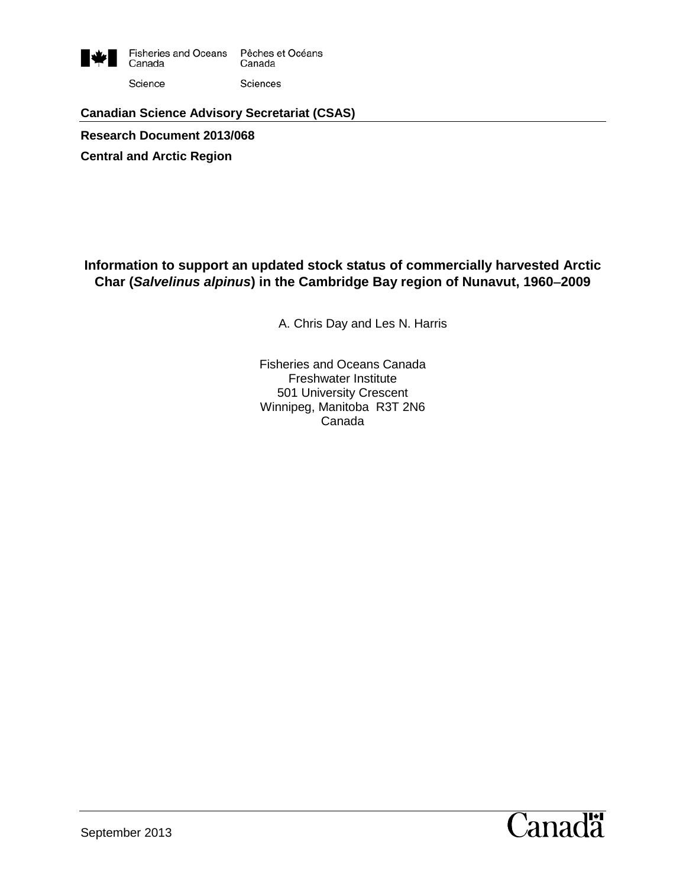

Science

Sciences

#### **Canadian Science Advisory Secretariat (CSAS)**

**Research Document 2013/068**

**Central and Arctic Region**

#### **Information to support an updated stock status of commercially harvested Arctic Char (***Salvelinus alpinus***) in the Cambridge Bay region of Nunavut, 1960**−**2009**

A. Chris Day and Les N. Harris

Fisheries and Oceans Canada Freshwater Institute 501 University Crescent Winnipeg, Manitoba R3T 2N6 Canada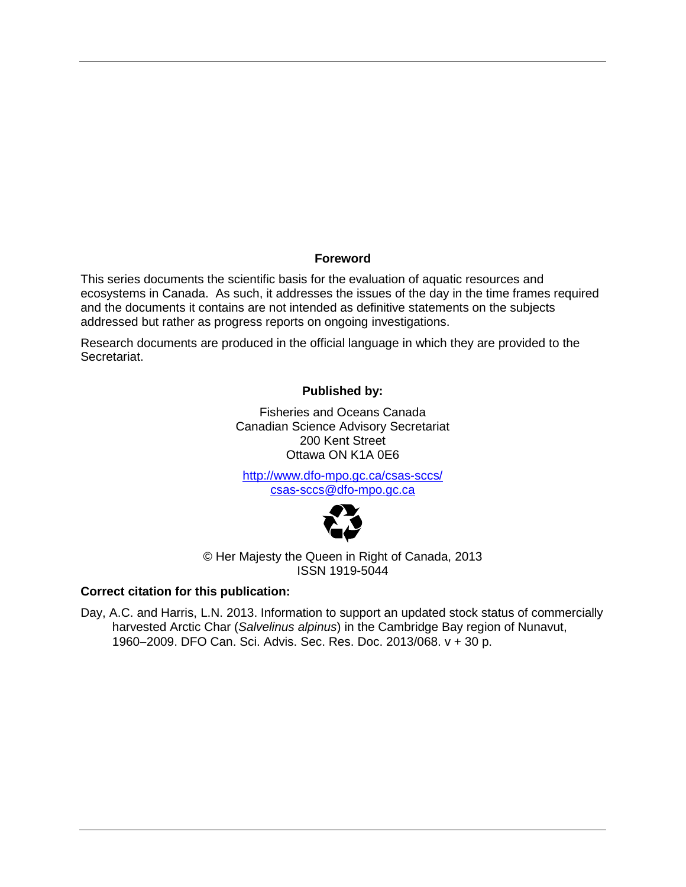#### **Foreword**

This series documents the scientific basis for the evaluation of aquatic resources and ecosystems in Canada. As such, it addresses the issues of the day in the time frames required and the documents it contains are not intended as definitive statements on the subjects addressed but rather as progress reports on ongoing investigations.

Research documents are produced in the official language in which they are provided to the Secretariat.

#### **Published by:**

Fisheries and Oceans Canada Canadian Science Advisory Secretariat 200 Kent Street Ottawa ON K1A 0E6

<http://www.dfo-mpo.gc.ca/csas-sccs/> [csas-sccs@dfo-mpo.gc.ca](mailto:csas-sccs@dfo-mpo.gc.ca)



© Her Majesty the Queen in Right of Canada, 2013 ISSN 1919-5044

#### **Correct citation for this publication:**

Day, A.C. and Harris, L.N. 2013. Information to support an updated stock status of commercially harvested Arctic Char (*Salvelinus alpinus*) in the Cambridge Bay region of Nunavut, 1960−2009. DFO Can. Sci. Advis. Sec. Res. Doc. 2013/068. v + 30 p.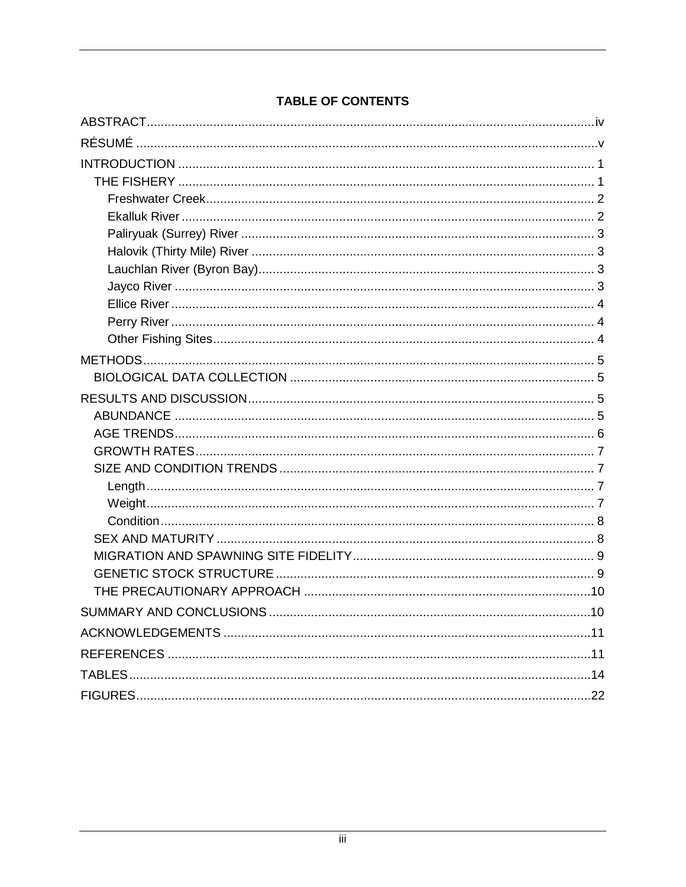### **TABLE OF CONTENTS**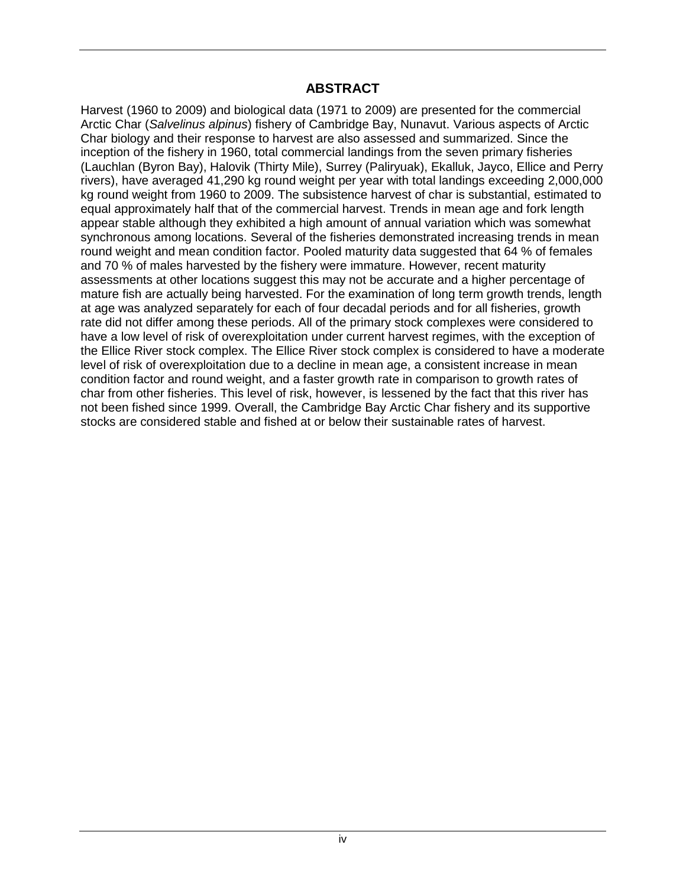#### **ABSTRACT**

<span id="page-3-0"></span>Harvest (1960 to 2009) and biological data (1971 to 2009) are presented for the commercial Arctic Char (*Salvelinus alpinus*) fishery of Cambridge Bay, Nunavut. Various aspects of Arctic Char biology and their response to harvest are also assessed and summarized. Since the inception of the fishery in 1960, total commercial landings from the seven primary fisheries (Lauchlan (Byron Bay), Halovik (Thirty Mile), Surrey (Paliryuak), Ekalluk, Jayco, Ellice and Perry rivers), have averaged 41,290 kg round weight per year with total landings exceeding 2,000,000 kg round weight from 1960 to 2009. The subsistence harvest of char is substantial, estimated to equal approximately half that of the commercial harvest. Trends in mean age and fork length appear stable although they exhibited a high amount of annual variation which was somewhat synchronous among locations. Several of the fisheries demonstrated increasing trends in mean round weight and mean condition factor. Pooled maturity data suggested that 64 % of females and 70 % of males harvested by the fishery were immature. However, recent maturity assessments at other locations suggest this may not be accurate and a higher percentage of mature fish are actually being harvested. For the examination of long term growth trends, length at age was analyzed separately for each of four decadal periods and for all fisheries, growth rate did not differ among these periods. All of the primary stock complexes were considered to have a low level of risk of overexploitation under current harvest regimes, with the exception of the Ellice River stock complex. The Ellice River stock complex is considered to have a moderate level of risk of overexploitation due to a decline in mean age, a consistent increase in mean condition factor and round weight, and a faster growth rate in comparison to growth rates of char from other fisheries. This level of risk, however, is lessened by the fact that this river has not been fished since 1999. Overall, the Cambridge Bay Arctic Char fishery and its supportive stocks are considered stable and fished at or below their sustainable rates of harvest.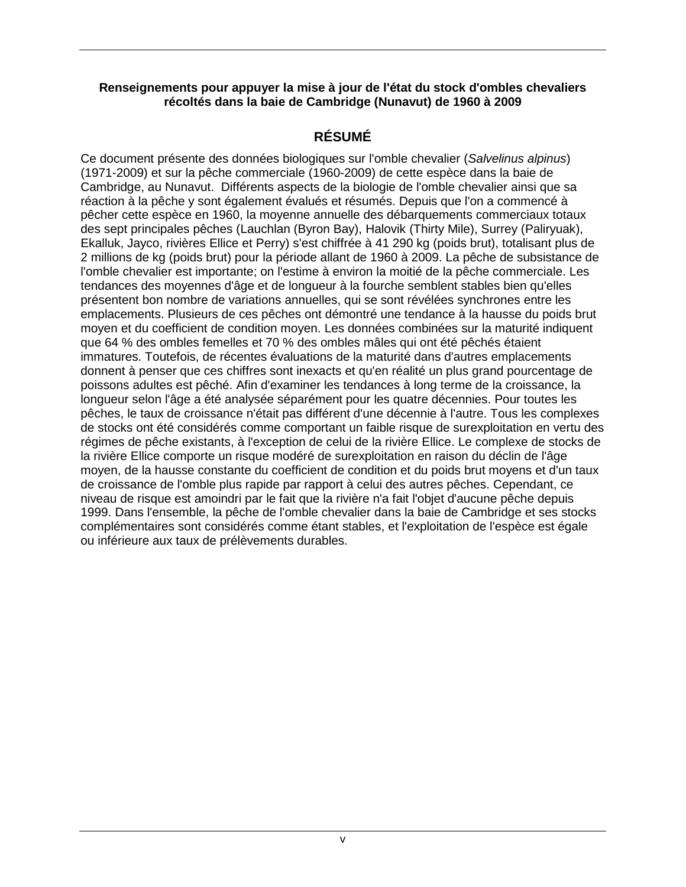#### <span id="page-4-0"></span>**Renseignements pour appuyer la mise à jour de l'état du stock d'ombles chevaliers récoltés dans la baie de Cambridge (Nunavut) de 1960 à 2009**

### **RÉSUMÉ**

Ce document présente des données biologiques sur l'omble chevalier (*Salvelinus alpinus*) (1971-2009) et sur la pêche commerciale (1960-2009) de cette espèce dans la baie de Cambridge, au Nunavut. Différents aspects de la biologie de l'omble chevalier ainsi que sa réaction à la pêche y sont également évalués et résumés. Depuis que l'on a commencé à pêcher cette espèce en 1960, la moyenne annuelle des débarquements commerciaux totaux des sept principales pêches (Lauchlan (Byron Bay), Halovik (Thirty Mile), Surrey (Paliryuak), Ekalluk, Jayco, rivières Ellice et Perry) s'est chiffrée à 41 290 kg (poids brut), totalisant plus de 2 millions de kg (poids brut) pour la période allant de 1960 à 2009. La pêche de subsistance de l'omble chevalier est importante; on l'estime à environ la moitié de la pêche commerciale. Les tendances des moyennes d'âge et de longueur à la fourche semblent stables bien qu'elles présentent bon nombre de variations annuelles, qui se sont révélées synchrones entre les emplacements. Plusieurs de ces pêches ont démontré une tendance à la hausse du poids brut moyen et du coefficient de condition moyen. Les données combinées sur la maturité indiquent que 64 % des ombles femelles et 70 % des ombles mâles qui ont été pêchés étaient immatures. Toutefois, de récentes évaluations de la maturité dans d'autres emplacements donnent à penser que ces chiffres sont inexacts et qu'en réalité un plus grand pourcentage de poissons adultes est pêché. Afin d'examiner les tendances à long terme de la croissance, la longueur selon l'âge a été analysée séparément pour les quatre décennies. Pour toutes les pêches, le taux de croissance n'était pas différent d'une décennie à l'autre. Tous les complexes de stocks ont été considérés comme comportant un faible risque de surexploitation en vertu des régimes de pêche existants, à l'exception de celui de la rivière Ellice. Le complexe de stocks de la rivière Ellice comporte un risque modéré de surexploitation en raison du déclin de l'âge moyen, de la hausse constante du coefficient de condition et du poids brut moyens et d'un taux de croissance de l'omble plus rapide par rapport à celui des autres pêches. Cependant, ce niveau de risque est amoindri par le fait que la rivière n'a fait l'objet d'aucune pêche depuis 1999. Dans l'ensemble, la pêche de l'omble chevalier dans la baie de Cambridge et ses stocks complémentaires sont considérés comme étant stables, et l'exploitation de l'espèce est égale ou inférieure aux taux de prélèvements durables.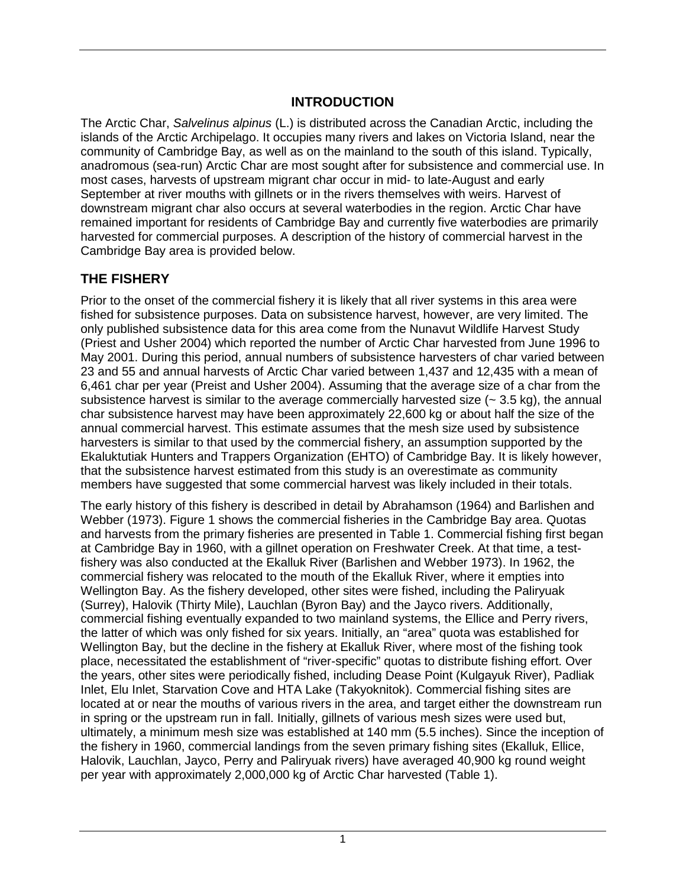### **INTRODUCTION**

<span id="page-5-0"></span>The Arctic Char, *Salvelinus alpinus* (L.) is distributed across the Canadian Arctic, including the islands of the Arctic Archipelago. It occupies many rivers and lakes on Victoria Island, near the community of Cambridge Bay, as well as on the mainland to the south of this island. Typically, anadromous (sea-run) Arctic Char are most sought after for subsistence and commercial use. In most cases, harvests of upstream migrant char occur in mid- to late-August and early September at river mouths with gillnets or in the rivers themselves with weirs. Harvest of downstream migrant char also occurs at several waterbodies in the region. Arctic Char have remained important for residents of Cambridge Bay and currently five waterbodies are primarily harvested for commercial purposes. A description of the history of commercial harvest in the Cambridge Bay area is provided below.

## <span id="page-5-1"></span>**THE FISHERY**

Prior to the onset of the commercial fishery it is likely that all river systems in this area were fished for subsistence purposes. Data on subsistence harvest, however, are very limited. The only published subsistence data for this area come from the Nunavut Wildlife Harvest Study (Priest and Usher 2004) which reported the number of Arctic Char harvested from June 1996 to May 2001. During this period, annual numbers of subsistence harvesters of char varied between 23 and 55 and annual harvests of Arctic Char varied between 1,437 and 12,435 with a mean of 6,461 char per year (Preist and Usher 2004). Assuming that the average size of a char from the subsistence harvest is similar to the average commercially harvested size  $(-3.5 \text{ kg})$ , the annual char subsistence harvest may have been approximately 22,600 kg or about half the size of the annual commercial harvest. This estimate assumes that the mesh size used by subsistence harvesters is similar to that used by the commercial fishery, an assumption supported by the Ekaluktutiak Hunters and Trappers Organization (EHTO) of Cambridge Bay. It is likely however, that the subsistence harvest estimated from this study is an overestimate as community members have suggested that some commercial harvest was likely included in their totals.

The early history of this fishery is described in detail by Abrahamson (1964) and Barlishen and Webber (1973). Figure 1 shows the commercial fisheries in the Cambridge Bay area. Quotas and harvests from the primary fisheries are presented in Table 1. Commercial fishing first began at Cambridge Bay in 1960, with a gillnet operation on Freshwater Creek. At that time, a testfishery was also conducted at the Ekalluk River (Barlishen and Webber 1973). In 1962, the commercial fishery was relocated to the mouth of the Ekalluk River, where it empties into Wellington Bay. As the fishery developed, other sites were fished, including the Paliryuak (Surrey), Halovik (Thirty Mile), Lauchlan (Byron Bay) and the Jayco rivers. Additionally, commercial fishing eventually expanded to two mainland systems, the Ellice and Perry rivers, the latter of which was only fished for six years. Initially, an "area" quota was established for Wellington Bay, but the decline in the fishery at Ekalluk River, where most of the fishing took place, necessitated the establishment of "river-specific" quotas to distribute fishing effort. Over the years, other sites were periodically fished, including Dease Point (Kulgayuk River), Padliak Inlet, Elu Inlet, Starvation Cove and HTA Lake (Takyoknitok). Commercial fishing sites are located at or near the mouths of various rivers in the area, and target either the downstream run in spring or the upstream run in fall. Initially, gillnets of various mesh sizes were used but, ultimately, a minimum mesh size was established at 140 mm (5.5 inches). Since the inception of the fishery in 1960, commercial landings from the seven primary fishing sites (Ekalluk, Ellice, Halovik, Lauchlan, Jayco, Perry and Paliryuak rivers) have averaged 40,900 kg round weight per year with approximately 2,000,000 kg of Arctic Char harvested (Table 1).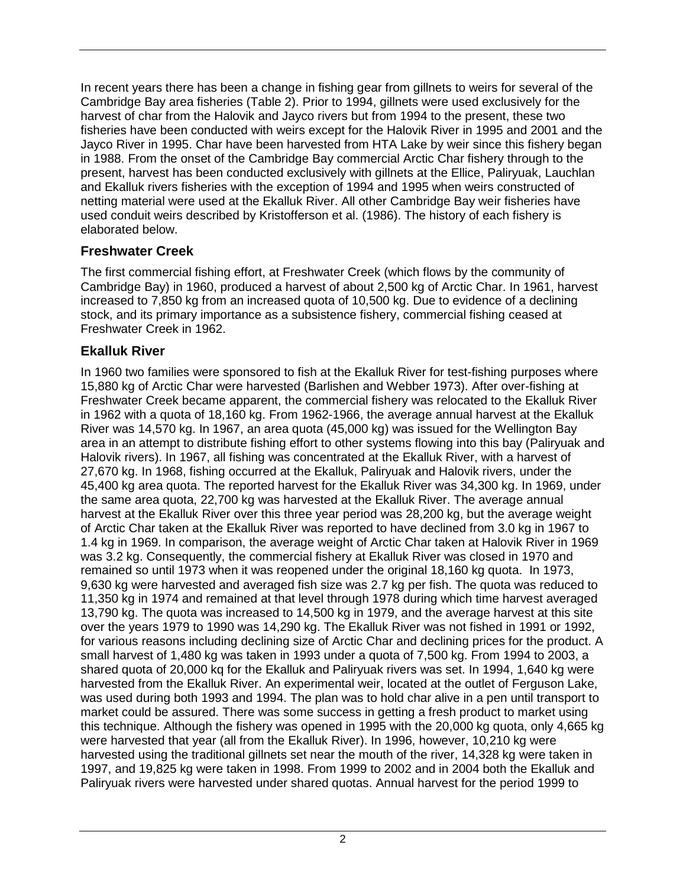In recent years there has been a change in fishing gear from gillnets to weirs for several of the Cambridge Bay area fisheries (Table 2). Prior to 1994, gillnets were used exclusively for the harvest of char from the Halovik and Jayco rivers but from 1994 to the present, these two fisheries have been conducted with weirs except for the Halovik River in 1995 and 2001 and the Jayco River in 1995. Char have been harvested from HTA Lake by weir since this fishery began in 1988. From the onset of the Cambridge Bay commercial Arctic Char fishery through to the present, harvest has been conducted exclusively with gillnets at the Ellice, Paliryuak, Lauchlan and Ekalluk rivers fisheries with the exception of 1994 and 1995 when weirs constructed of netting material were used at the Ekalluk River. All other Cambridge Bay weir fisheries have used conduit weirs described by Kristofferson et al. (1986). The history of each fishery is elaborated below.

## <span id="page-6-0"></span>**Freshwater Creek**

The first commercial fishing effort, at Freshwater Creek (which flows by the community of Cambridge Bay) in 1960, produced a harvest of about 2,500 kg of Arctic Char. In 1961, harvest increased to 7,850 kg from an increased quota of 10,500 kg. Due to evidence of a declining stock, and its primary importance as a subsistence fishery, commercial fishing ceased at Freshwater Creek in 1962.

## <span id="page-6-1"></span>**Ekalluk River**

In 1960 two families were sponsored to fish at the Ekalluk River for test-fishing purposes where 15,880 kg of Arctic Char were harvested (Barlishen and Webber 1973). After over-fishing at Freshwater Creek became apparent, the commercial fishery was relocated to the Ekalluk River in 1962 with a quota of 18,160 kg. From 1962-1966, the average annual harvest at the Ekalluk River was 14,570 kg. In 1967, an area quota (45,000 kg) was issued for the Wellington Bay area in an attempt to distribute fishing effort to other systems flowing into this bay (Paliryuak and Halovik rivers). In 1967, all fishing was concentrated at the Ekalluk River, with a harvest of 27,670 kg. In 1968, fishing occurred at the Ekalluk, Paliryuak and Halovik rivers, under the 45,400 kg area quota. The reported harvest for the Ekalluk River was 34,300 kg. In 1969, under the same area quota, 22,700 kg was harvested at the Ekalluk River. The average annual harvest at the Ekalluk River over this three year period was 28,200 kg, but the average weight of Arctic Char taken at the Ekalluk River was reported to have declined from 3.0 kg in 1967 to 1.4 kg in 1969. In comparison, the average weight of Arctic Char taken at Halovik River in 1969 was 3.2 kg. Consequently, the commercial fishery at Ekalluk River was closed in 1970 and remained so until 1973 when it was reopened under the original 18,160 kg quota. In 1973, 9,630 kg were harvested and averaged fish size was 2.7 kg per fish. The quota was reduced to 11,350 kg in 1974 and remained at that level through 1978 during which time harvest averaged 13,790 kg. The quota was increased to 14,500 kg in 1979, and the average harvest at this site over the years 1979 to 1990 was 14,290 kg. The Ekalluk River was not fished in 1991 or 1992, for various reasons including declining size of Arctic Char and declining prices for the product. A small harvest of 1,480 kg was taken in 1993 under a quota of 7,500 kg. From 1994 to 2003, a shared quota of 20,000 kq for the Ekalluk and Paliryuak rivers was set. In 1994, 1,640 kg were harvested from the Ekalluk River. An experimental weir, located at the outlet of Ferguson Lake, was used during both 1993 and 1994. The plan was to hold char alive in a pen until transport to market could be assured. There was some success in getting a fresh product to market using this technique. Although the fishery was opened in 1995 with the 20,000 kg quota, only 4,665 kg were harvested that year (all from the Ekalluk River). In 1996, however, 10,210 kg were harvested using the traditional gillnets set near the mouth of the river, 14,328 kg were taken in 1997, and 19,825 kg were taken in 1998. From 1999 to 2002 and in 2004 both the Ekalluk and Paliryuak rivers were harvested under shared quotas. Annual harvest for the period 1999 to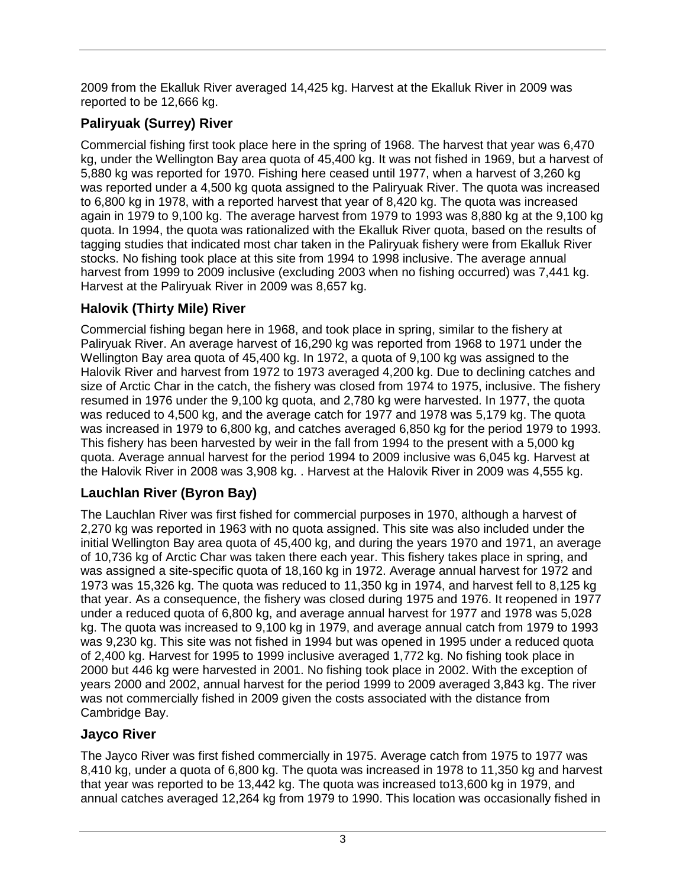2009 from the Ekalluk River averaged 14,425 kg. Harvest at the Ekalluk River in 2009 was reported to be 12,666 kg.

# <span id="page-7-0"></span>**Paliryuak (Surrey) River**

Commercial fishing first took place here in the spring of 1968. The harvest that year was 6,470 kg, under the Wellington Bay area quota of 45,400 kg. It was not fished in 1969, but a harvest of 5,880 kg was reported for 1970. Fishing here ceased until 1977, when a harvest of 3,260 kg was reported under a 4,500 kg quota assigned to the Paliryuak River. The quota was increased to 6,800 kg in 1978, with a reported harvest that year of 8,420 kg. The quota was increased again in 1979 to 9,100 kg. The average harvest from 1979 to 1993 was 8,880 kg at the 9,100 kg quota. In 1994, the quota was rationalized with the Ekalluk River quota, based on the results of tagging studies that indicated most char taken in the Paliryuak fishery were from Ekalluk River stocks. No fishing took place at this site from 1994 to 1998 inclusive. The average annual harvest from 1999 to 2009 inclusive (excluding 2003 when no fishing occurred) was 7,441 kg. Harvest at the Paliryuak River in 2009 was 8,657 kg.

# <span id="page-7-1"></span>**Halovik (Thirty Mile) River**

Commercial fishing began here in 1968, and took place in spring, similar to the fishery at Paliryuak River. An average harvest of 16,290 kg was reported from 1968 to 1971 under the Wellington Bay area quota of 45,400 kg. In 1972, a quota of 9,100 kg was assigned to the Halovik River and harvest from 1972 to 1973 averaged 4,200 kg. Due to declining catches and size of Arctic Char in the catch, the fishery was closed from 1974 to 1975, inclusive. The fishery resumed in 1976 under the 9,100 kg quota, and 2,780 kg were harvested. In 1977, the quota was reduced to 4,500 kg, and the average catch for 1977 and 1978 was 5,179 kg. The quota was increased in 1979 to 6,800 kg, and catches averaged 6,850 kg for the period 1979 to 1993. This fishery has been harvested by weir in the fall from 1994 to the present with a 5,000 kg quota. Average annual harvest for the period 1994 to 2009 inclusive was 6,045 kg. Harvest at the Halovik River in 2008 was 3,908 kg. . Harvest at the Halovik River in 2009 was 4,555 kg.

# <span id="page-7-2"></span>**Lauchlan River (Byron Bay)**

The Lauchlan River was first fished for commercial purposes in 1970, although a harvest of 2,270 kg was reported in 1963 with no quota assigned. This site was also included under the initial Wellington Bay area quota of 45,400 kg, and during the years 1970 and 1971, an average of 10,736 kg of Arctic Char was taken there each year. This fishery takes place in spring, and was assigned a site-specific quota of 18,160 kg in 1972. Average annual harvest for 1972 and 1973 was 15,326 kg. The quota was reduced to 11,350 kg in 1974, and harvest fell to 8,125 kg that year. As a consequence, the fishery was closed during 1975 and 1976. It reopened in 1977 under a reduced quota of 6,800 kg, and average annual harvest for 1977 and 1978 was 5,028 kg. The quota was increased to 9,100 kg in 1979, and average annual catch from 1979 to 1993 was 9,230 kg. This site was not fished in 1994 but was opened in 1995 under a reduced quota of 2,400 kg. Harvest for 1995 to 1999 inclusive averaged 1,772 kg. No fishing took place in 2000 but 446 kg were harvested in 2001. No fishing took place in 2002. With the exception of years 2000 and 2002, annual harvest for the period 1999 to 2009 averaged 3,843 kg. The river was not commercially fished in 2009 given the costs associated with the distance from Cambridge Bay.

## <span id="page-7-3"></span>**Jayco River**

The Jayco River was first fished commercially in 1975. Average catch from 1975 to 1977 was 8,410 kg, under a quota of 6,800 kg. The quota was increased in 1978 to 11,350 kg and harvest that year was reported to be 13,442 kg. The quota was increased to13,600 kg in 1979, and annual catches averaged 12,264 kg from 1979 to 1990. This location was occasionally fished in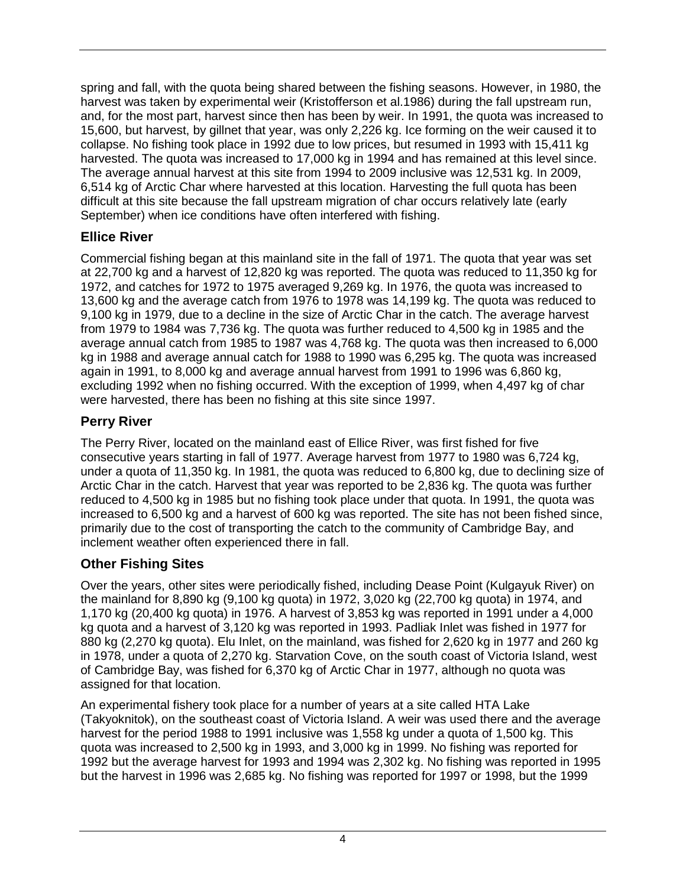spring and fall, with the quota being shared between the fishing seasons. However, in 1980, the harvest was taken by experimental weir (Kristofferson et al.1986) during the fall upstream run, and, for the most part, harvest since then has been by weir. In 1991, the quota was increased to 15,600, but harvest, by gillnet that year, was only 2,226 kg. Ice forming on the weir caused it to collapse. No fishing took place in 1992 due to low prices, but resumed in 1993 with 15,411 kg harvested. The quota was increased to 17,000 kg in 1994 and has remained at this level since. The average annual harvest at this site from 1994 to 2009 inclusive was 12,531 kg. In 2009, 6,514 kg of Arctic Char where harvested at this location. Harvesting the full quota has been difficult at this site because the fall upstream migration of char occurs relatively late (early September) when ice conditions have often interfered with fishing.

## <span id="page-8-0"></span>**Ellice River**

Commercial fishing began at this mainland site in the fall of 1971. The quota that year was set at 22,700 kg and a harvest of 12,820 kg was reported. The quota was reduced to 11,350 kg for 1972, and catches for 1972 to 1975 averaged 9,269 kg. In 1976, the quota was increased to 13,600 kg and the average catch from 1976 to 1978 was 14,199 kg. The quota was reduced to 9,100 kg in 1979, due to a decline in the size of Arctic Char in the catch. The average harvest from 1979 to 1984 was 7,736 kg. The quota was further reduced to 4,500 kg in 1985 and the average annual catch from 1985 to 1987 was 4,768 kg. The quota was then increased to 6,000 kg in 1988 and average annual catch for 1988 to 1990 was 6,295 kg. The quota was increased again in 1991, to 8,000 kg and average annual harvest from 1991 to 1996 was 6,860 kg, excluding 1992 when no fishing occurred. With the exception of 1999, when 4,497 kg of char were harvested, there has been no fishing at this site since 1997.

# <span id="page-8-1"></span>**Perry River**

The Perry River, located on the mainland east of Ellice River, was first fished for five consecutive years starting in fall of 1977. Average harvest from 1977 to 1980 was 6,724 kg, under a quota of 11,350 kg. In 1981, the quota was reduced to 6,800 kg, due to declining size of Arctic Char in the catch. Harvest that year was reported to be 2,836 kg. The quota was further reduced to 4,500 kg in 1985 but no fishing took place under that quota. In 1991, the quota was increased to 6,500 kg and a harvest of 600 kg was reported. The site has not been fished since, primarily due to the cost of transporting the catch to the community of Cambridge Bay, and inclement weather often experienced there in fall.

# <span id="page-8-2"></span>**Other Fishing Sites**

Over the years, other sites were periodically fished, including Dease Point (Kulgayuk River) on the mainland for 8,890 kg (9,100 kg quota) in 1972, 3,020 kg (22,700 kg quota) in 1974, and 1,170 kg (20,400 kg quota) in 1976. A harvest of 3,853 kg was reported in 1991 under a 4,000 kg quota and a harvest of 3,120 kg was reported in 1993. Padliak Inlet was fished in 1977 for 880 kg (2,270 kg quota). Elu Inlet, on the mainland, was fished for 2,620 kg in 1977 and 260 kg in 1978, under a quota of 2,270 kg. Starvation Cove, on the south coast of Victoria Island, west of Cambridge Bay, was fished for 6,370 kg of Arctic Char in 1977, although no quota was assigned for that location.

An experimental fishery took place for a number of years at a site called HTA Lake (Takyoknitok), on the southeast coast of Victoria Island. A weir was used there and the average harvest for the period 1988 to 1991 inclusive was 1,558 kg under a quota of 1,500 kg. This quota was increased to 2,500 kg in 1993, and 3,000 kg in 1999. No fishing was reported for 1992 but the average harvest for 1993 and 1994 was 2,302 kg. No fishing was reported in 1995 but the harvest in 1996 was 2,685 kg. No fishing was reported for 1997 or 1998, but the 1999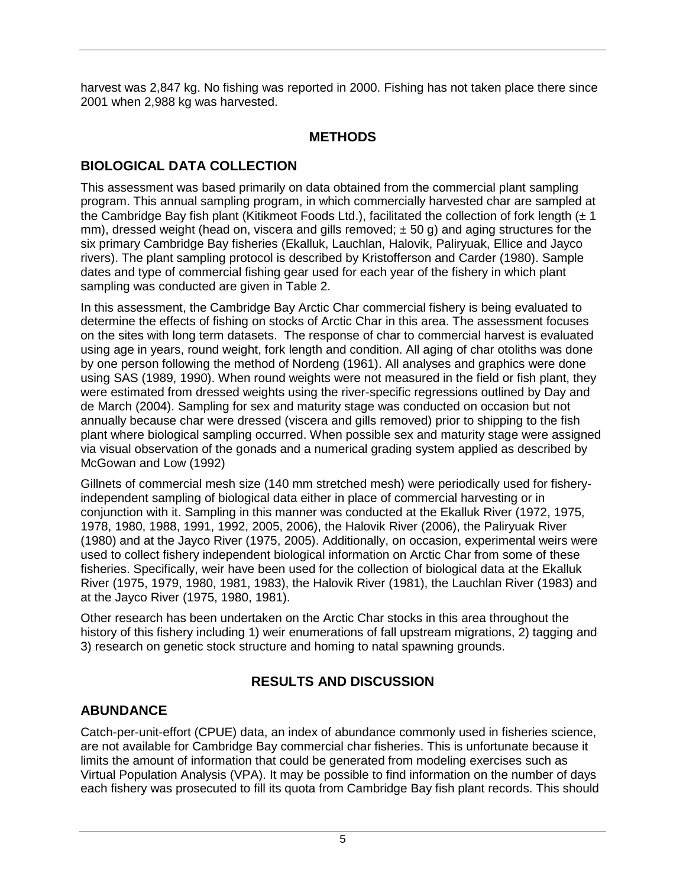<span id="page-9-0"></span>harvest was 2,847 kg. No fishing was reported in 2000. Fishing has not taken place there since 2001 when 2,988 kg was harvested.

## **METHODS**

# <span id="page-9-1"></span>**BIOLOGICAL DATA COLLECTION**

This assessment was based primarily on data obtained from the commercial plant sampling program. This annual sampling program, in which commercially harvested char are sampled at the Cambridge Bay fish plant (Kitikmeot Foods Ltd.), facilitated the collection of fork length  $(\pm 1)$ mm), dressed weight (head on, viscera and gills removed;  $\pm$  50 g) and aging structures for the six primary Cambridge Bay fisheries (Ekalluk, Lauchlan, Halovik, Paliryuak, Ellice and Jayco rivers). The plant sampling protocol is described by Kristofferson and Carder (1980). Sample dates and type of commercial fishing gear used for each year of the fishery in which plant sampling was conducted are given in Table 2.

In this assessment, the Cambridge Bay Arctic Char commercial fishery is being evaluated to determine the effects of fishing on stocks of Arctic Char in this area. The assessment focuses on the sites with long term datasets. The response of char to commercial harvest is evaluated using age in years, round weight, fork length and condition. All aging of char otoliths was done by one person following the method of Nordeng (1961). All analyses and graphics were done using SAS (1989, 1990). When round weights were not measured in the field or fish plant, they were estimated from dressed weights using the river-specific regressions outlined by Day and de March (2004). Sampling for sex and maturity stage was conducted on occasion but not annually because char were dressed (viscera and gills removed) prior to shipping to the fish plant where biological sampling occurred. When possible sex and maturity stage were assigned via visual observation of the gonads and a numerical grading system applied as described by McGowan and Low (1992)

Gillnets of commercial mesh size (140 mm stretched mesh) were periodically used for fisheryindependent sampling of biological data either in place of commercial harvesting or in conjunction with it. Sampling in this manner was conducted at the Ekalluk River (1972, 1975, 1978, 1980, 1988, 1991, 1992, 2005, 2006), the Halovik River (2006), the Paliryuak River (1980) and at the Jayco River (1975, 2005). Additionally, on occasion, experimental weirs were used to collect fishery independent biological information on Arctic Char from some of these fisheries. Specifically, weir have been used for the collection of biological data at the Ekalluk River (1975, 1979, 1980, 1981, 1983), the Halovik River (1981), the Lauchlan River (1983) and at the Jayco River (1975, 1980, 1981).

Other research has been undertaken on the Arctic Char stocks in this area throughout the history of this fishery including 1) weir enumerations of fall upstream migrations, 2) tagging and 3) research on genetic stock structure and homing to natal spawning grounds.

# **RESULTS AND DISCUSSION**

# <span id="page-9-3"></span><span id="page-9-2"></span>**ABUNDANCE**

Catch-per-unit-effort (CPUE) data, an index of abundance commonly used in fisheries science, are not available for Cambridge Bay commercial char fisheries. This is unfortunate because it limits the amount of information that could be generated from modeling exercises such as Virtual Population Analysis (VPA). It may be possible to find information on the number of days each fishery was prosecuted to fill its quota from Cambridge Bay fish plant records. This should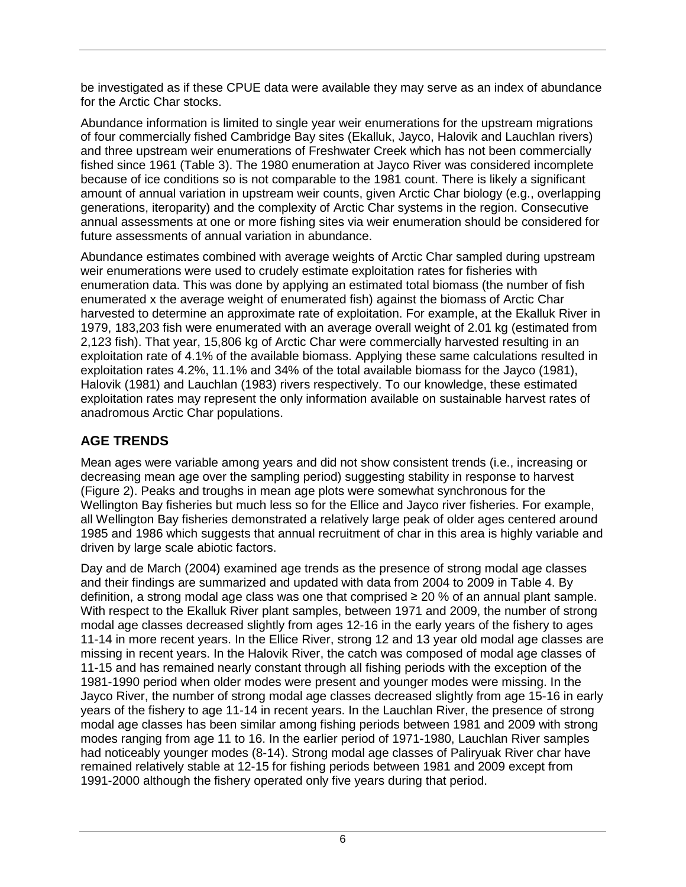be investigated as if these CPUE data were available they may serve as an index of abundance for the Arctic Char stocks.

Abundance information is limited to single year weir enumerations for the upstream migrations of four commercially fished Cambridge Bay sites (Ekalluk, Jayco, Halovik and Lauchlan rivers) and three upstream weir enumerations of Freshwater Creek which has not been commercially fished since 1961 (Table 3). The 1980 enumeration at Jayco River was considered incomplete because of ice conditions so is not comparable to the 1981 count. There is likely a significant amount of annual variation in upstream weir counts, given Arctic Char biology (e.g., overlapping generations, iteroparity) and the complexity of Arctic Char systems in the region. Consecutive annual assessments at one or more fishing sites via weir enumeration should be considered for future assessments of annual variation in abundance.

Abundance estimates combined with average weights of Arctic Char sampled during upstream weir enumerations were used to crudely estimate exploitation rates for fisheries with enumeration data. This was done by applying an estimated total biomass (the number of fish enumerated x the average weight of enumerated fish) against the biomass of Arctic Char harvested to determine an approximate rate of exploitation. For example, at the Ekalluk River in 1979, 183,203 fish were enumerated with an average overall weight of 2.01 kg (estimated from 2,123 fish). That year, 15,806 kg of Arctic Char were commercially harvested resulting in an exploitation rate of 4.1% of the available biomass. Applying these same calculations resulted in exploitation rates 4.2%, 11.1% and 34% of the total available biomass for the Jayco (1981), Halovik (1981) and Lauchlan (1983) rivers respectively. To our knowledge, these estimated exploitation rates may represent the only information available on sustainable harvest rates of anadromous Arctic Char populations.

# <span id="page-10-0"></span>**AGE TRENDS**

Mean ages were variable among years and did not show consistent trends (i.e., increasing or decreasing mean age over the sampling period) suggesting stability in response to harvest (Figure 2). Peaks and troughs in mean age plots were somewhat synchronous for the Wellington Bay fisheries but much less so for the Ellice and Jayco river fisheries. For example, all Wellington Bay fisheries demonstrated a relatively large peak of older ages centered around 1985 and 1986 which suggests that annual recruitment of char in this area is highly variable and driven by large scale abiotic factors.

Day and de March (2004) examined age trends as the presence of strong modal age classes and their findings are summarized and updated with data from 2004 to 2009 in Table 4. By definition, a strong modal age class was one that comprised ≥ 20 % of an annual plant sample. With respect to the Ekalluk River plant samples, between 1971 and 2009, the number of strong modal age classes decreased slightly from ages 12-16 in the early years of the fishery to ages 11-14 in more recent years. In the Ellice River, strong 12 and 13 year old modal age classes are missing in recent years. In the Halovik River, the catch was composed of modal age classes of 11-15 and has remained nearly constant through all fishing periods with the exception of the 1981-1990 period when older modes were present and younger modes were missing. In the Jayco River, the number of strong modal age classes decreased slightly from age 15-16 in early years of the fishery to age 11-14 in recent years. In the Lauchlan River, the presence of strong modal age classes has been similar among fishing periods between 1981 and 2009 with strong modes ranging from age 11 to 16. In the earlier period of 1971-1980, Lauchlan River samples had noticeably younger modes (8-14). Strong modal age classes of Paliryuak River char have remained relatively stable at 12-15 for fishing periods between 1981 and 2009 except from 1991-2000 although the fishery operated only five years during that period.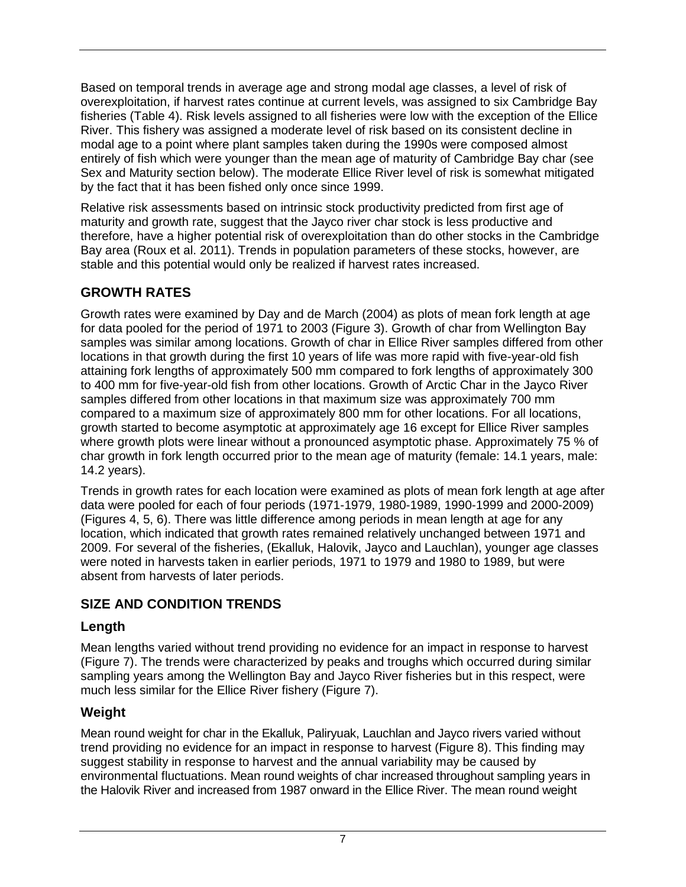Based on temporal trends in average age and strong modal age classes, a level of risk of overexploitation, if harvest rates continue at current levels, was assigned to six Cambridge Bay fisheries (Table 4). Risk levels assigned to all fisheries were low with the exception of the Ellice River. This fishery was assigned a moderate level of risk based on its consistent decline in modal age to a point where plant samples taken during the 1990s were composed almost entirely of fish which were younger than the mean age of maturity of Cambridge Bay char (see Sex and Maturity section below). The moderate Ellice River level of risk is somewhat mitigated by the fact that it has been fished only once since 1999.

Relative risk assessments based on intrinsic stock productivity predicted from first age of maturity and growth rate, suggest that the Jayco river char stock is less productive and therefore, have a higher potential risk of overexploitation than do other stocks in the Cambridge Bay area (Roux et al. 2011). Trends in population parameters of these stocks, however, are stable and this potential would only be realized if harvest rates increased.

## <span id="page-11-0"></span>**GROWTH RATES**

Growth rates were examined by Day and de March (2004) as plots of mean fork length at age for data pooled for the period of 1971 to 2003 (Figure 3). Growth of char from Wellington Bay samples was similar among locations. Growth of char in Ellice River samples differed from other locations in that growth during the first 10 years of life was more rapid with five-year-old fish attaining fork lengths of approximately 500 mm compared to fork lengths of approximately 300 to 400 mm for five-year-old fish from other locations. Growth of Arctic Char in the Jayco River samples differed from other locations in that maximum size was approximately 700 mm compared to a maximum size of approximately 800 mm for other locations. For all locations, growth started to become asymptotic at approximately age 16 except for Ellice River samples where growth plots were linear without a pronounced asymptotic phase. Approximately 75 % of char growth in fork length occurred prior to the mean age of maturity (female: 14.1 years, male: 14.2 years).

Trends in growth rates for each location were examined as plots of mean fork length at age after data were pooled for each of four periods (1971-1979, 1980-1989, 1990-1999 and 2000-2009) (Figures 4, 5, 6). There was little difference among periods in mean length at age for any location, which indicated that growth rates remained relatively unchanged between 1971 and 2009. For several of the fisheries, (Ekalluk, Halovik, Jayco and Lauchlan), younger age classes were noted in harvests taken in earlier periods, 1971 to 1979 and 1980 to 1989, but were absent from harvests of later periods.

## <span id="page-11-1"></span>**SIZE AND CONDITION TRENDS**

#### <span id="page-11-2"></span>**Length**

Mean lengths varied without trend providing no evidence for an impact in response to harvest (Figure 7). The trends were characterized by peaks and troughs which occurred during similar sampling years among the Wellington Bay and Jayco River fisheries but in this respect, were much less similar for the Ellice River fishery (Figure 7).

## <span id="page-11-3"></span>**Weight**

Mean round weight for char in the Ekalluk, Paliryuak, Lauchlan and Jayco rivers varied without trend providing no evidence for an impact in response to harvest (Figure 8). This finding may suggest stability in response to harvest and the annual variability may be caused by environmental fluctuations. Mean round weights of char increased throughout sampling years in the Halovik River and increased from 1987 onward in the Ellice River. The mean round weight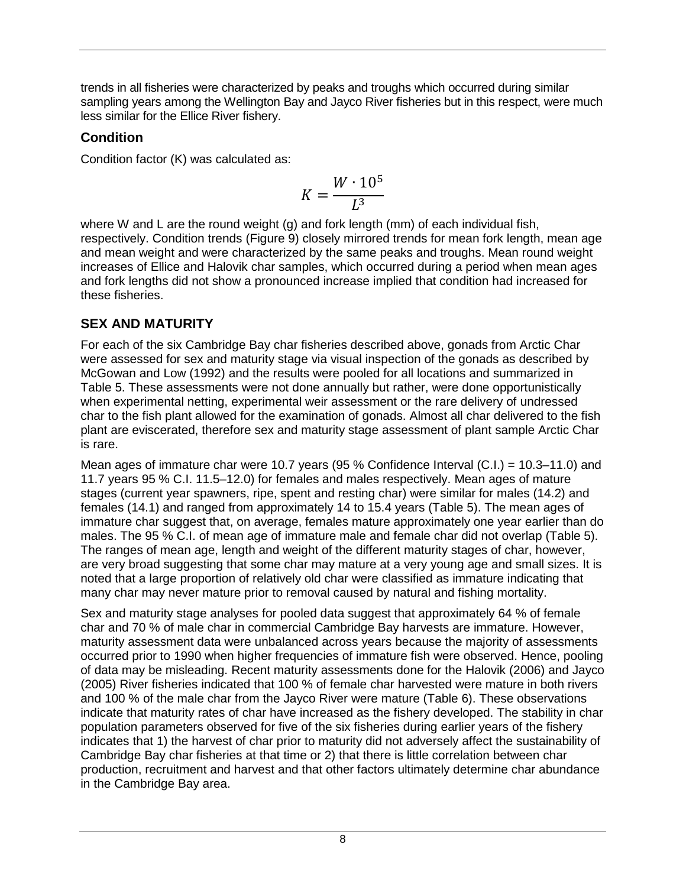trends in all fisheries were characterized by peaks and troughs which occurred during similar sampling years among the Wellington Bay and Jayco River fisheries but in this respect, were much less similar for the Ellice River fishery.

### <span id="page-12-0"></span>**Condition**

Condition factor (K) was calculated as:

$$
K = \frac{W \cdot 10^5}{L^3}
$$

where W and L are the round weight (g) and fork length (mm) of each individual fish, respectively. Condition trends (Figure 9) closely mirrored trends for mean fork length, mean age and mean weight and were characterized by the same peaks and troughs. Mean round weight increases of Ellice and Halovik char samples, which occurred during a period when mean ages and fork lengths did not show a pronounced increase implied that condition had increased for these fisheries.

# <span id="page-12-1"></span>**SEX AND MATURITY**

For each of the six Cambridge Bay char fisheries described above, gonads from Arctic Char were assessed for sex and maturity stage via visual inspection of the gonads as described by McGowan and Low (1992) and the results were pooled for all locations and summarized in Table 5. These assessments were not done annually but rather, were done opportunistically when experimental netting, experimental weir assessment or the rare delivery of undressed char to the fish plant allowed for the examination of gonads. Almost all char delivered to the fish plant are eviscerated, therefore sex and maturity stage assessment of plant sample Arctic Char is rare.

Mean ages of immature char were 10.7 years (95 % Confidence Interval (C.I.) = 10.3–11.0) and 11.7 years 95 % C.I. 11.5–12.0) for females and males respectively. Mean ages of mature stages (current year spawners, ripe, spent and resting char) were similar for males (14.2) and females (14.1) and ranged from approximately 14 to 15.4 years (Table 5). The mean ages of immature char suggest that, on average, females mature approximately one year earlier than do males. The 95 % C.I. of mean age of immature male and female char did not overlap (Table 5). The ranges of mean age, length and weight of the different maturity stages of char, however, are very broad suggesting that some char may mature at a very young age and small sizes. It is noted that a large proportion of relatively old char were classified as immature indicating that many char may never mature prior to removal caused by natural and fishing mortality.

Sex and maturity stage analyses for pooled data suggest that approximately 64 % of female char and 70 % of male char in commercial Cambridge Bay harvests are immature. However, maturity assessment data were unbalanced across years because the majority of assessments occurred prior to 1990 when higher frequencies of immature fish were observed. Hence, pooling of data may be misleading. Recent maturity assessments done for the Halovik (2006) and Jayco (2005) River fisheries indicated that 100 % of female char harvested were mature in both rivers and 100 % of the male char from the Jayco River were mature (Table 6). These observations indicate that maturity rates of char have increased as the fishery developed. The stability in char population parameters observed for five of the six fisheries during earlier years of the fishery indicates that 1) the harvest of char prior to maturity did not adversely affect the sustainability of Cambridge Bay char fisheries at that time or 2) that there is little correlation between char production, recruitment and harvest and that other factors ultimately determine char abundance in the Cambridge Bay area.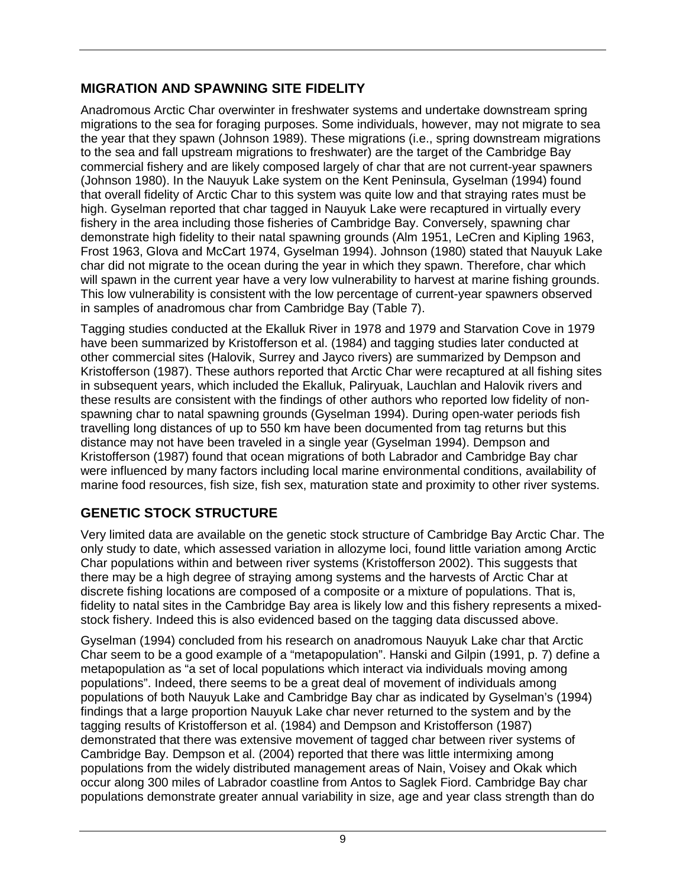## <span id="page-13-0"></span>**MIGRATION AND SPAWNING SITE FIDELITY**

Anadromous Arctic Char overwinter in freshwater systems and undertake downstream spring migrations to the sea for foraging purposes. Some individuals, however, may not migrate to sea the year that they spawn (Johnson 1989). These migrations (i.e., spring downstream migrations to the sea and fall upstream migrations to freshwater) are the target of the Cambridge Bay commercial fishery and are likely composed largely of char that are not current-year spawners (Johnson 1980). In the Nauyuk Lake system on the Kent Peninsula, Gyselman (1994) found that overall fidelity of Arctic Char to this system was quite low and that straying rates must be high. Gyselman reported that char tagged in Nauyuk Lake were recaptured in virtually every fishery in the area including those fisheries of Cambridge Bay. Conversely, spawning char demonstrate high fidelity to their natal spawning grounds (Alm 1951, LeCren and Kipling 1963, Frost 1963, Glova and McCart 1974, Gyselman 1994). Johnson (1980) stated that Nauyuk Lake char did not migrate to the ocean during the year in which they spawn. Therefore, char which will spawn in the current year have a very low vulnerability to harvest at marine fishing grounds. This low vulnerability is consistent with the low percentage of current-year spawners observed in samples of anadromous char from Cambridge Bay (Table 7).

Tagging studies conducted at the Ekalluk River in 1978 and 1979 and Starvation Cove in 1979 have been summarized by Kristofferson et al. (1984) and tagging studies later conducted at other commercial sites (Halovik, Surrey and Jayco rivers) are summarized by Dempson and Kristofferson (1987). These authors reported that Arctic Char were recaptured at all fishing sites in subsequent years, which included the Ekalluk, Paliryuak, Lauchlan and Halovik rivers and these results are consistent with the findings of other authors who reported low fidelity of nonspawning char to natal spawning grounds (Gyselman 1994). During open-water periods fish travelling long distances of up to 550 km have been documented from tag returns but this distance may not have been traveled in a single year (Gyselman 1994). Dempson and Kristofferson (1987) found that ocean migrations of both Labrador and Cambridge Bay char were influenced by many factors including local marine environmental conditions, availability of marine food resources, fish size, fish sex, maturation state and proximity to other river systems.

# <span id="page-13-1"></span>**GENETIC STOCK STRUCTURE**

Very limited data are available on the genetic stock structure of Cambridge Bay Arctic Char. The only study to date, which assessed variation in allozyme loci, found little variation among Arctic Char populations within and between river systems (Kristofferson 2002). This suggests that there may be a high degree of straying among systems and the harvests of Arctic Char at discrete fishing locations are composed of a composite or a mixture of populations. That is, fidelity to natal sites in the Cambridge Bay area is likely low and this fishery represents a mixedstock fishery. Indeed this is also evidenced based on the tagging data discussed above.

Gyselman (1994) concluded from his research on anadromous Nauyuk Lake char that Arctic Char seem to be a good example of a "metapopulation". Hanski and Gilpin (1991, p. 7) define a metapopulation as "a set of local populations which interact via individuals moving among populations". Indeed, there seems to be a great deal of movement of individuals among populations of both Nauyuk Lake and Cambridge Bay char as indicated by Gyselman's (1994) findings that a large proportion Nauyuk Lake char never returned to the system and by the tagging results of Kristofferson et al. (1984) and Dempson and Kristofferson (1987) demonstrated that there was extensive movement of tagged char between river systems of Cambridge Bay. Dempson et al. (2004) reported that there was little intermixing among populations from the widely distributed management areas of Nain, Voisey and Okak which occur along 300 miles of Labrador coastline from Antos to Saglek Fiord. Cambridge Bay char populations demonstrate greater annual variability in size, age and year class strength than do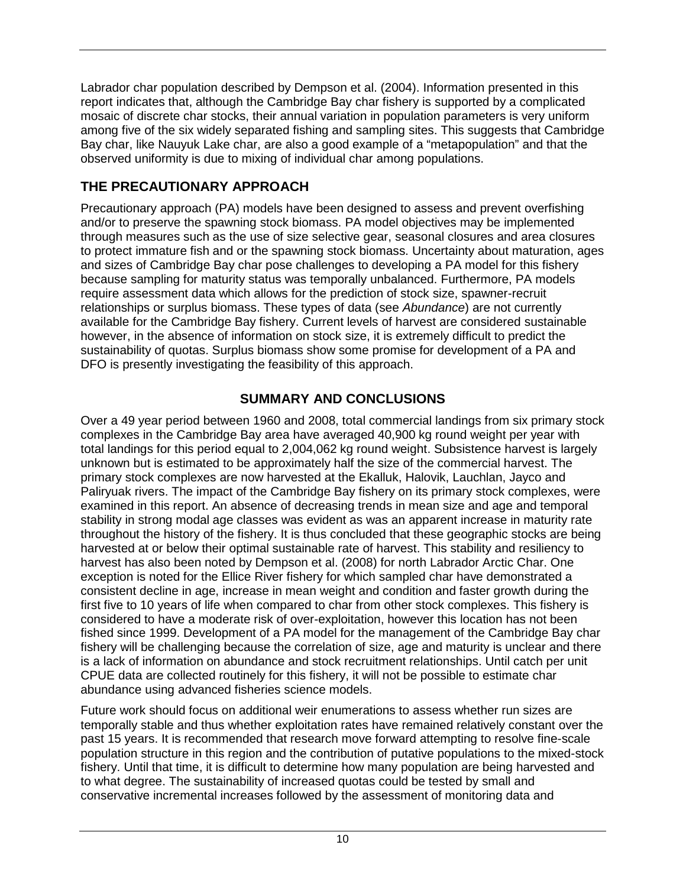Labrador char population described by Dempson et al. (2004). Information presented in this report indicates that, although the Cambridge Bay char fishery is supported by a complicated mosaic of discrete char stocks, their annual variation in population parameters is very uniform among five of the six widely separated fishing and sampling sites. This suggests that Cambridge Bay char, like Nauyuk Lake char, are also a good example of a "metapopulation" and that the observed uniformity is due to mixing of individual char among populations.

# <span id="page-14-0"></span>**THE PRECAUTIONARY APPROACH**

Precautionary approach (PA) models have been designed to assess and prevent overfishing and/or to preserve the spawning stock biomass. PA model objectives may be implemented through measures such as the use of size selective gear, seasonal closures and area closures to protect immature fish and or the spawning stock biomass. Uncertainty about maturation, ages and sizes of Cambridge Bay char pose challenges to developing a PA model for this fishery because sampling for maturity status was temporally unbalanced. Furthermore, PA models require assessment data which allows for the prediction of stock size, spawner-recruit relationships or surplus biomass. These types of data (see *Abundance*) are not currently available for the Cambridge Bay fishery. Current levels of harvest are considered sustainable however, in the absence of information on stock size, it is extremely difficult to predict the sustainability of quotas. Surplus biomass show some promise for development of a PA and DFO is presently investigating the feasibility of this approach.

## **SUMMARY AND CONCLUSIONS**

<span id="page-14-1"></span>Over a 49 year period between 1960 and 2008, total commercial landings from six primary stock complexes in the Cambridge Bay area have averaged 40,900 kg round weight per year with total landings for this period equal to 2,004,062 kg round weight. Subsistence harvest is largely unknown but is estimated to be approximately half the size of the commercial harvest. The primary stock complexes are now harvested at the Ekalluk, Halovik, Lauchlan, Jayco and Paliryuak rivers. The impact of the Cambridge Bay fishery on its primary stock complexes, were examined in this report. An absence of decreasing trends in mean size and age and temporal stability in strong modal age classes was evident as was an apparent increase in maturity rate throughout the history of the fishery. It is thus concluded that these geographic stocks are being harvested at or below their optimal sustainable rate of harvest. This stability and resiliency to harvest has also been noted by Dempson et al. (2008) for north Labrador Arctic Char. One exception is noted for the Ellice River fishery for which sampled char have demonstrated a consistent decline in age, increase in mean weight and condition and faster growth during the first five to 10 years of life when compared to char from other stock complexes. This fishery is considered to have a moderate risk of over-exploitation, however this location has not been fished since 1999. Development of a PA model for the management of the Cambridge Bay char fishery will be challenging because the correlation of size, age and maturity is unclear and there is a lack of information on abundance and stock recruitment relationships. Until catch per unit CPUE data are collected routinely for this fishery, it will not be possible to estimate char abundance using advanced fisheries science models.

Future work should focus on additional weir enumerations to assess whether run sizes are temporally stable and thus whether exploitation rates have remained relatively constant over the past 15 years. It is recommended that research move forward attempting to resolve fine-scale population structure in this region and the contribution of putative populations to the mixed-stock fishery. Until that time, it is difficult to determine how many population are being harvested and to what degree. The sustainability of increased quotas could be tested by small and conservative incremental increases followed by the assessment of monitoring data and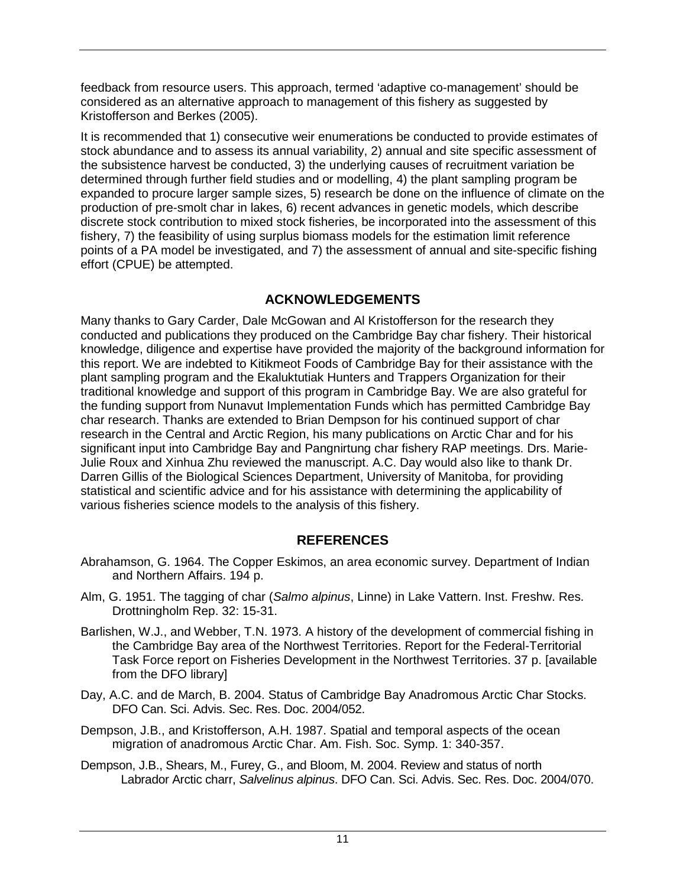feedback from resource users. This approach, termed 'adaptive co-management' should be considered as an alternative approach to management of this fishery as suggested by Kristofferson and Berkes (2005).

It is recommended that 1) consecutive weir enumerations be conducted to provide estimates of stock abundance and to assess its annual variability, 2) annual and site specific assessment of the subsistence harvest be conducted, 3) the underlying causes of recruitment variation be determined through further field studies and or modelling, 4) the plant sampling program be expanded to procure larger sample sizes, 5) research be done on the influence of climate on the production of pre-smolt char in lakes, 6) recent advances in genetic models, which describe discrete stock contribution to mixed stock fisheries, be incorporated into the assessment of this fishery, 7) the feasibility of using surplus biomass models for the estimation limit reference points of a PA model be investigated, and 7) the assessment of annual and site-specific fishing effort (CPUE) be attempted.

#### **ACKNOWLEDGEMENTS**

<span id="page-15-0"></span>Many thanks to Gary Carder, Dale McGowan and Al Kristofferson for the research they conducted and publications they produced on the Cambridge Bay char fishery. Their historical knowledge, diligence and expertise have provided the majority of the background information for this report. We are indebted to Kitikmeot Foods of Cambridge Bay for their assistance with the plant sampling program and the Ekaluktutiak Hunters and Trappers Organization for their traditional knowledge and support of this program in Cambridge Bay. We are also grateful for the funding support from Nunavut Implementation Funds which has permitted Cambridge Bay char research. Thanks are extended to Brian Dempson for his continued support of char research in the Central and Arctic Region, his many publications on Arctic Char and for his significant input into Cambridge Bay and Pangnirtung char fishery RAP meetings. Drs. Marie-Julie Roux and Xinhua Zhu reviewed the manuscript. A.C. Day would also like to thank Dr. Darren Gillis of the Biological Sciences Department, University of Manitoba, for providing statistical and scientific advice and for his assistance with determining the applicability of various fisheries science models to the analysis of this fishery.

## **REFERENCES**

- <span id="page-15-1"></span>Abrahamson, G. 1964. The Copper Eskimos, an area economic survey. Department of Indian and Northern Affairs. 194 p.
- Alm, G. 1951. The tagging of char (*Salmo alpinus*, Linne) in Lake Vattern. Inst. Freshw. Res. Drottningholm Rep. 32: 15-31.
- Barlishen, W.J., and Webber, T.N. 1973. A history of the development of commercial fishing in the Cambridge Bay area of the Northwest Territories. Report for the Federal-Territorial Task Force report on Fisheries Development in the Northwest Territories. 37 p. [available from the DFO library]
- Day, A.C. and de March, B. 2004. Status of Cambridge Bay Anadromous Arctic Char Stocks. DFO Can. Sci. Advis. Sec. Res. Doc. 2004/052.
- Dempson, J.B., and Kristofferson, A.H. 1987. Spatial and temporal aspects of the ocean migration of anadromous Arctic Char. Am. Fish. Soc. Symp. 1: 340-357.
- Dempson, J.B., Shears, M., Furey, G., and Bloom, M. 2004. Review and status of north Labrador Arctic charr, *Salvelinus alpinus*. DFO Can. Sci. Advis. Sec. Res. Doc. 2004/070.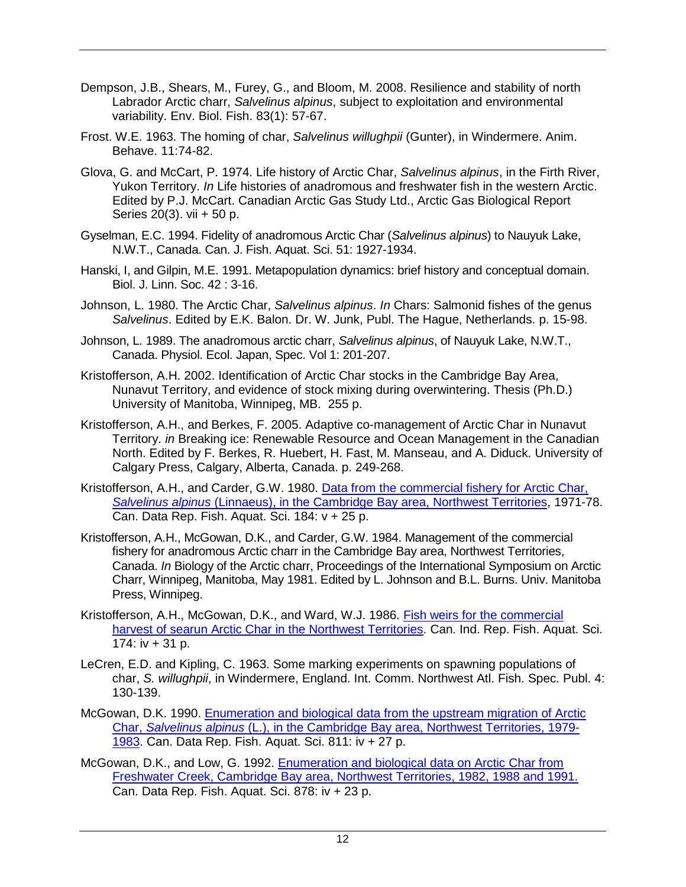- Dempson, J.B., Shears, M., Furey, G., and Bloom, M. 2008. Resilience and stability of north Labrador Arctic charr, *Salvelinus alpinus*, subject to exploitation and environmental variability. Env. Biol. Fish. 83(1): 57-67.
- Frost. W.E. 1963. The homing of char, *Salvelinus willughpii* (Gunter), in Windermere. Anim. Behave. 11:74-82.
- Glova, G. and McCart, P. 1974. Life history of Arctic Char, *Salvelinus alpinus*, in the Firth River, Yukon Territory. *In* Life histories of anadromous and freshwater fish in the western Arctic. Edited by P.J. McCart. Canadian Arctic Gas Study Ltd., Arctic Gas Biological Report Series 20(3). vii + 50 p.
- Gyselman, E.C. 1994. Fidelity of anadromous Arctic Char (*Salvelinus alpinus*) to Nauyuk Lake, N.W.T., Canada. Can. J. Fish. Aquat. Sci. 51: 1927-1934.
- Hanski, I, and Gilpin, M.E. 1991. Metapopulation dynamics: brief history and conceptual domain. Biol. J. Linn. Soc. 42 : 3-16.
- Johnson, L. 1980. The Arctic Char, *Salvelinus alpinus*. *In* Chars: Salmonid fishes of the genus *Salvelinus*. Edited by E.K. Balon. Dr. W. Junk, Publ. The Hague, Netherlands. p. 15-98.
- Johnson, L. 1989. The anadromous arctic charr, *Salvelinus alpinus*, of Nauyuk Lake, N.W.T., Canada. Physiol. Ecol. Japan, Spec. Vol 1: 201-207.
- Kristofferson, A.H. 2002. Identification of Arctic Char stocks in the Cambridge Bay Area, Nunavut Territory, and evidence of stock mixing during overwintering. Thesis (Ph.D.) University of Manitoba, Winnipeg, MB. 255 p.
- Kristofferson, A.H., and Berkes, F. 2005. Adaptive co-management of Arctic Char in Nunavut Territory. *in* Breaking ice: Renewable Resource and Ocean Management in the Canadian North. Edited by F. Berkes, R. Huebert, H. Fast, M. Manseau, and A. Diduck. University of Calgary Press, Calgary, Alberta, Canada. p. 249-268.
- Kristofferson, A.H., and Carder, G.W. 1980. [Data from the commercial fishery for Arctic Char,](http://www.dfo-mpo.gc.ca/Library/112.pdf)  *Salvelinus alpinus* [\(Linnaeus\), in the Cambridge Bay area, Northwest Territories,](http://www.dfo-mpo.gc.ca/Library/112.pdf) 1971-78. Can. Data Rep. Fish. Aquat. Sci. 184: v + 25 p.
- Kristofferson, A.H., McGowan, D.K., and Carder, G.W. 1984. Management of the commercial fishery for anadromous Arctic charr in the Cambridge Bay area, Northwest Territories, Canada. *In* Biology of the Arctic charr, Proceedings of the International Symposium on Arctic Charr, Winnipeg, Manitoba, May 1981. Edited by L. Johnson and B.L. Burns. Univ. Manitoba Press, Winnipeg.
- Kristofferson, A.H., McGowan, D.K., and Ward, W.J. 1986. [Fish weirs for the commercial](http://www.dfo-mpo.gc.ca/Library/98264.pdf)  [harvest of searun Arctic Char in the Northwest Territories.](http://www.dfo-mpo.gc.ca/Library/98264.pdf) Can. Ind. Rep. Fish. Aquat. Sci. 174:  $iv + 31 p$ .
- LeCren, E.D. and Kipling, C. 1963. Some marking experiments on spawning populations of char, *S. willughpii*, in Windermere, England. Int. Comm. Northwest Atl. Fish. Spec. Publ. 4: 130-139.
- McGowan, D.K. 1990. [Enumeration and biological data from the upstream migration of Arctic](http://www.dfo-mpo.gc.ca/Library/116586.pdf)  Char, *Salvelinus alpinus* (L.), in [the Cambridge Bay area, Northwest Territories, 1979-](http://www.dfo-mpo.gc.ca/Library/116586.pdf) [1983.](http://www.dfo-mpo.gc.ca/Library/116586.pdf) Can. Data Rep. Fish. Aquat. Sci. 811: iv + 27 p.
- McGowan, D.K., and Low, G. 1992. [Enumeration and biological data on Arctic Char from](http://www.dfo-mpo.gc.ca/Library/135736.pdf)  [Freshwater Creek, Cambridge Bay area, Northwest Territories, 1982, 1988 and 1991.](http://www.dfo-mpo.gc.ca/Library/135736.pdf)  Can. Data Rep. Fish. Aquat. Sci. 878: iv + 23 p.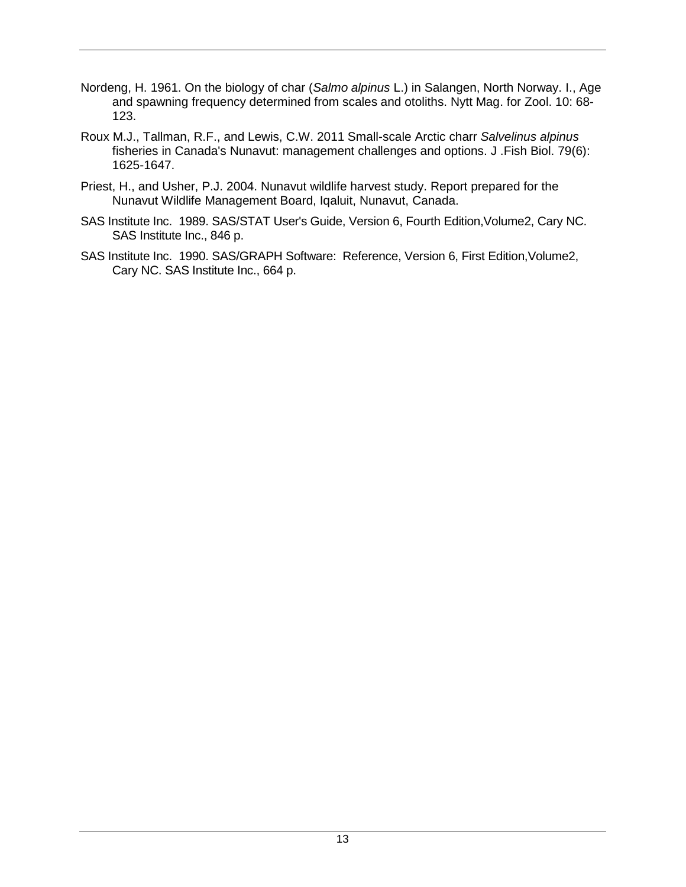- Nordeng, H. 1961. On the biology of char (*Salmo alpinus* L.) in Salangen, North Norway. I., Age and spawning frequency determined from scales and otoliths. Nytt Mag. for Zool. 10: 68- 123.
- Roux M.J., Tallman, R.F., and Lewis, C.W. 2011 Small-scale Arctic charr *Salvelinus alpinus*  fisheries in Canada's Nunavut: management challenges and options. J .Fish Biol. 79(6): 1625-1647.
- Priest, H., and Usher, P.J. 2004. Nunavut wildlife harvest study. Report prepared for the Nunavut Wildlife Management Board, Iqaluit, Nunavut, Canada.
- SAS Institute Inc. 1989. SAS/STAT User's Guide, Version 6, Fourth Edition,Volume2, Cary NC. SAS Institute Inc., 846 p.
- SAS Institute Inc. 1990. SAS/GRAPH Software: Reference, Version 6, First Edition,Volume2, Cary NC. SAS Institute Inc., 664 p.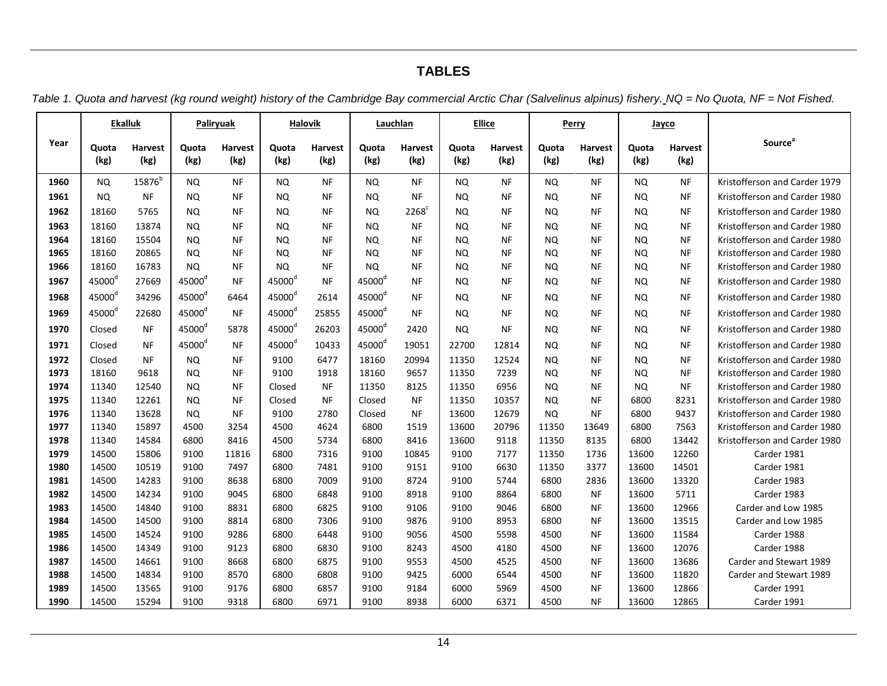# **TABLES**

*Table 1. Quota and harvest (kg round weight) history of the Cambridge Bay commercial Arctic Char (Salvelinus alpinus) fishery. NQ = No Quota, NF = Not Fished.*

<span id="page-18-0"></span>

|      |                    | <b>Ekalluk</b>         |                    | Paliryuak              |                      | <b>Halovik</b>         |                    | Lauchlan               |               | <b>Ellice</b>   |               | Perry                  |               | Jayco           |                               |
|------|--------------------|------------------------|--------------------|------------------------|----------------------|------------------------|--------------------|------------------------|---------------|-----------------|---------------|------------------------|---------------|-----------------|-------------------------------|
| Year | Quota<br>(kg)      | <b>Harvest</b><br>(kg) | Quota<br>(kg)      | <b>Harvest</b><br>(kg) | Quota<br>(kg)        | <b>Harvest</b><br>(kg) | Quota<br>(kg)      | <b>Harvest</b><br>(kg) | Quota<br>(kg) | Harvest<br>(kg) | Quota<br>(kg) | <b>Harvest</b><br>(kg) | Quota<br>(kg) | Harvest<br>(kg) | <b>Source</b> <sup>a</sup>    |
| 1960 | <b>NQ</b>          | 15876 <sup>b</sup>     | <b>NQ</b>          | <b>NF</b>              | <b>NQ</b>            | <b>NF</b>              | <b>NQ</b>          | <b>NF</b>              | <b>NQ</b>     | <b>NF</b>       | <b>NQ</b>     | <b>NF</b>              | <b>NQ</b>     | $\sf{NF}$       | Kristofferson and Carder 1979 |
| 1961 | <b>NQ</b>          | <b>NF</b>              | <b>NQ</b>          | NF                     | <b>NQ</b>            | <b>NF</b>              | NQ.                | <b>NF</b>              | <b>NQ</b>     | <b>NF</b>       | <b>NQ</b>     | <b>NF</b>              | <b>NQ</b>     | <b>NF</b>       | Kristofferson and Carder 1980 |
| 1962 | 18160              | 5765                   | <b>NQ</b>          | <b>NF</b>              | <b>NQ</b>            | <b>NF</b>              | <b>NQ</b>          | $2268^{\circ}$         | NQ.           | <b>NF</b>       | <b>NQ</b>     | <b>NF</b>              | <b>NQ</b>     | <b>NF</b>       | Kristofferson and Carder 1980 |
| 1963 | 18160              | 13874                  | <b>NQ</b>          | <b>NF</b>              | <b>NQ</b>            | <b>NF</b>              | <b>NQ</b>          | <b>NF</b>              | NQ.           | <b>NF</b>       | <b>NQ</b>     | <b>NF</b>              | <b>NQ</b>     | <b>NF</b>       | Kristofferson and Carder 1980 |
| 1964 | 18160              | 15504                  | <b>NQ</b>          | <b>NF</b>              | <b>NQ</b>            | <b>NF</b>              | <b>NQ</b>          | <b>NF</b>              | NQ.           | <b>NF</b>       | <b>NQ</b>     | <b>NF</b>              | <b>NQ</b>     | <b>NF</b>       | Kristofferson and Carder 1980 |
| 1965 | 18160              | 20865                  | NQ.                | <b>NF</b>              | NQ.                  | NF                     | NQ.                | <b>NF</b>              | NQ.           | ΝF              | <b>NQ</b>     | <b>NF</b>              | <b>NQ</b>     | <b>NF</b>       | Kristofferson and Carder 1980 |
| 1966 | 18160              | 16783                  | NQ.                | NF                     | NQ.                  | ΝF                     | NQ.                | NF                     | NQ.           | NF              | <b>NQ</b>     | <b>NF</b>              | <b>NQ</b>     | <b>NF</b>       | Kristofferson and Carder 1980 |
| 1967 | 45000 <sup>d</sup> | 27669                  | 45000 <sup>d</sup> | <b>NF</b>              | $45000^\circ$        | <b>NF</b>              | $45000^\circ$      | <b>NF</b>              | NQ.           | <b>NF</b>       | NQ.           | <b>NF</b>              | <b>NQ</b>     | <b>NF</b>       | Kristofferson and Carder 1980 |
| 1968 | 45000 <sup>d</sup> | 34296                  | 45000 <sup>d</sup> | 6464                   | 45000 <sup>d</sup>   | 2614                   | 45000 <sup>d</sup> | <b>NF</b>              | NQ.           | <b>NF</b>       | <b>NQ</b>     | <b>NF</b>              | <b>NQ</b>     | <b>NF</b>       | Kristofferson and Carder 1980 |
| 1969 | 45000 <sup>d</sup> | 22680                  | 45000 <sup>d</sup> | <b>NF</b>              | 45000°               | 25855                  | 45000 <sup>d</sup> | <b>NF</b>              | <b>NQ</b>     | <b>NF</b>       | <b>NQ</b>     | <b>NF</b>              | <b>NQ</b>     | <b>NF</b>       | Kristofferson and Carder 1980 |
| 1970 | Closed             | <b>NF</b>              | 45000 <sup>d</sup> | 5878                   | 45000 <sup>d</sup>   | 26203                  | 45000 <sup>d</sup> | 2420                   | <b>NQ</b>     | <b>NF</b>       | <b>NQ</b>     | <b>NF</b>              | <b>NQ</b>     | <b>NF</b>       | Kristofferson and Carder 1980 |
| 1971 | Closed             | <b>NF</b>              | 45000 <sup>d</sup> | <b>NF</b>              | $45000$ <sup>d</sup> | 10433                  | 45000 <sup>d</sup> | 19051                  | 22700         | 12814           | <b>NQ</b>     | <b>NF</b>              | <b>NQ</b>     | <b>NF</b>       | Kristofferson and Carder 1980 |
| 1972 | Closed             | <b>NF</b>              | <b>NQ</b>          | NF                     | 9100                 | 6477                   | 18160              | 20994                  | 11350         | 12524           | <b>NQ</b>     | <b>NF</b>              | <b>NQ</b>     | <b>NF</b>       | Kristofferson and Carder 1980 |
| 1973 | 18160              | 9618                   | <b>NQ</b>          | <b>NF</b>              | 9100                 | 1918                   | 18160              | 9657                   | 11350         | 7239            | <b>NQ</b>     | <b>NF</b>              | <b>NQ</b>     | <b>NF</b>       | Kristofferson and Carder 1980 |
| 1974 | 11340              | 12540                  | <b>NQ</b>          | <b>NF</b>              | Closed               | <b>NF</b>              | 11350              | 8125                   | 11350         | 6956            | <b>NQ</b>     | <b>NF</b>              | <b>NQ</b>     | <b>NF</b>       | Kristofferson and Carder 1980 |
| 1975 | 11340              | 12261                  | <b>NQ</b>          | <b>NF</b>              | Closed               | <b>NF</b>              | Closed             | <b>NF</b>              | 11350         | 10357           | <b>NQ</b>     | <b>NF</b>              | 6800          | 8231            | Kristofferson and Carder 1980 |
| 1976 | 11340              | 13628                  | NQ.                | <b>NF</b>              | 9100                 | 2780                   | Closed             | <b>NF</b>              | 13600         | 12679           | <b>NQ</b>     | <b>NF</b>              | 6800          | 9437            | Kristofferson and Carder 1980 |
| 1977 | 11340              | 15897                  | 4500               | 3254                   | 4500                 | 4624                   | 6800               | 1519                   | 13600         | 20796           | 11350         | 13649                  | 6800          | 7563            | Kristofferson and Carder 1980 |
| 1978 | 11340              | 14584                  | 6800               | 8416                   | 4500                 | 5734                   | 6800               | 8416                   | 13600         | 9118            | 11350         | 8135                   | 6800          | 13442           | Kristofferson and Carder 1980 |
| 1979 | 14500              | 15806                  | 9100               | 11816                  | 6800                 | 7316                   | 9100               | 10845                  | 9100          | 7177            | 11350         | 1736                   | 13600         | 12260           | Carder 1981                   |
| 1980 | 14500              | 10519                  | 9100               | 7497                   | 6800                 | 7481                   | 9100               | 9151                   | 9100          | 6630            | 11350         | 3377                   | 13600         | 14501           | Carder 1981                   |
| 1981 | 14500              | 14283                  | 9100               | 8638                   | 6800                 | 7009                   | 9100               | 8724                   | 9100          | 5744            | 6800          | 2836                   | 13600         | 13320           | Carder 1983                   |
| 1982 | 14500              | 14234                  | 9100               | 9045                   | 6800                 | 6848                   | 9100               | 8918                   | 9100          | 8864            | 6800          | <b>NF</b>              | 13600         | 5711            | Carder 1983                   |
| 1983 | 14500              | 14840                  | 9100               | 8831                   | 6800                 | 6825                   | 9100               | 9106                   | 9100          | 9046            | 6800          | <b>NF</b>              | 13600         | 12966           | Carder and Low 1985           |
| 1984 | 14500              | 14500                  | 9100               | 8814                   | 6800                 | 7306                   | 9100               | 9876                   | 9100          | 8953            | 6800          | <b>NF</b>              | 13600         | 13515           | Carder and Low 1985           |
| 1985 | 14500              | 14524                  | 9100               | 9286                   | 6800                 | 6448                   | 9100               | 9056                   | 4500          | 5598            | 4500          | <b>NF</b>              | 13600         | 11584           | Carder 1988                   |
| 1986 | 14500              | 14349                  | 9100               | 9123                   | 6800                 | 6830                   | 9100               | 8243                   | 4500          | 4180            | 4500          | <b>NF</b>              | 13600         | 12076           | Carder 1988                   |
| 1987 | 14500              | 14661                  | 9100               | 8668                   | 6800                 | 6875                   | 9100               | 9553                   | 4500          | 4525            | 4500          | <b>NF</b>              | 13600         | 13686           | Carder and Stewart 1989       |
| 1988 | 14500              | 14834                  | 9100               | 8570                   | 6800                 | 6808                   | 9100               | 9425                   | 6000          | 6544            | 4500          | <b>NF</b>              | 13600         | 11820           | Carder and Stewart 1989       |
| 1989 | 14500              | 13565                  | 9100               | 9176                   | 6800                 | 6857                   | 9100               | 9184                   | 6000          | 5969            | 4500          | <b>NF</b>              | 13600         | 12866           | Carder 1991                   |
| 1990 | 14500              | 15294                  | 9100               | 9318                   | 6800                 | 6971                   | 9100               | 8938                   | 6000          | 6371            | 4500          | <b>NF</b>              | 13600         | 12865           | Carder 1991                   |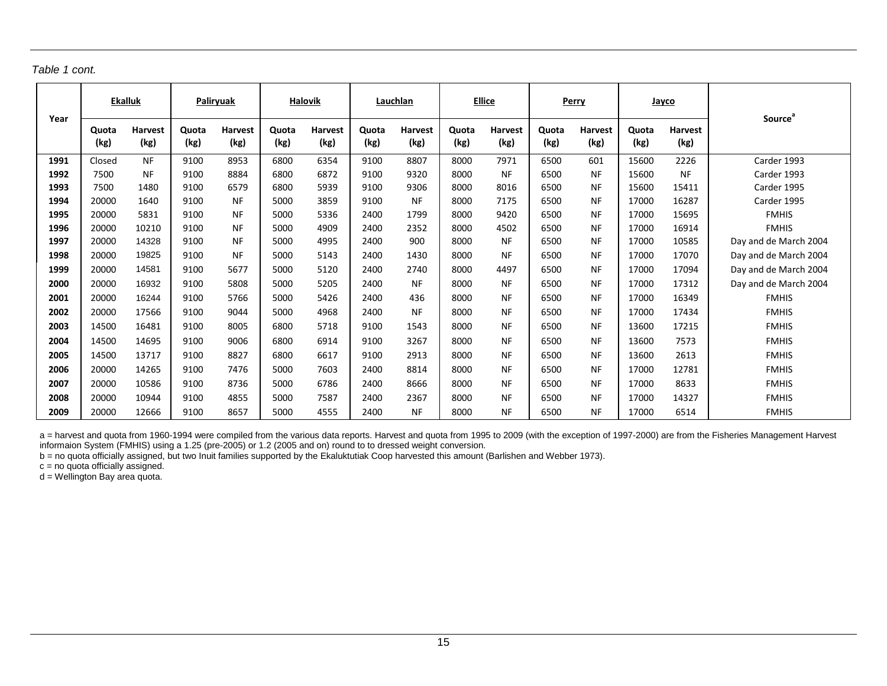| Table 1 cont. |  |  |
|---------------|--|--|
|---------------|--|--|

| Year | <b>Ekalluk</b> |                        | Paliryuak     |                        | <b>Halovik</b> |                 | Lauchlan      |                        | <b>Ellice</b> |                        |               | Perry                  | Jayco         |                        | <b>Source</b> <sup>a</sup> |
|------|----------------|------------------------|---------------|------------------------|----------------|-----------------|---------------|------------------------|---------------|------------------------|---------------|------------------------|---------------|------------------------|----------------------------|
|      | Quota<br>(kg)  | <b>Harvest</b><br>(kg) | Quota<br>(kg) | <b>Harvest</b><br>(kg) | Quota<br>(kg)  | Harvest<br>(kg) | Quota<br>(kg) | <b>Harvest</b><br>(kg) | Quota<br>(kg) | <b>Harvest</b><br>(kg) | Quota<br>(kg) | <b>Harvest</b><br>(kg) | Quota<br>(kg) | <b>Harvest</b><br>(kg) |                            |
| 1991 | Closed         | <b>NF</b>              | 9100          | 8953                   | 6800           | 6354            | 9100          | 8807                   | 8000          | 7971                   | 6500          | 601                    | 15600         | 2226                   | Carder 1993                |
| 1992 | 7500           | <b>NF</b>              | 9100          | 8884                   | 6800           | 6872            | 9100          | 9320                   | 8000          | <b>NF</b>              | 6500          | <b>NF</b>              | 15600         | <b>NF</b>              | Carder 1993                |
| 1993 | 7500           | 1480                   | 9100          | 6579                   | 6800           | 5939            | 9100          | 9306                   | 8000          | 8016                   | 6500          | <b>NF</b>              | 15600         | 15411                  | Carder 1995                |
| 1994 | 20000          | 1640                   | 9100          | NF                     | 5000           | 3859            | 9100          | <b>NF</b>              | 8000          | 7175                   | 6500          | <b>NF</b>              | 17000         | 16287                  | Carder 1995                |
| 1995 | 20000          | 5831                   | 9100          | <b>NF</b>              | 5000           | 5336            | 2400          | 1799                   | 8000          | 9420                   | 6500          | <b>NF</b>              | 17000         | 15695                  | <b>FMHIS</b>               |
| 1996 | 20000          | 10210                  | 9100          | <b>NF</b>              | 5000           | 4909            | 2400          | 2352                   | 8000          | 4502                   | 6500          | <b>NF</b>              | 17000         | 16914                  | <b>FMHIS</b>               |
| 1997 | 20000          | 14328                  | 9100          | <b>NF</b>              | 5000           | 4995            | 2400          | 900                    | 8000          | <b>NF</b>              | 6500          | <b>NF</b>              | 17000         | 10585                  | Day and de March 2004      |
| 1998 | 20000          | 19825                  | 9100          | <b>NF</b>              | 5000           | 5143            | 2400          | 1430                   | 8000          | <b>NF</b>              | 6500          | <b>NF</b>              | 17000         | 17070                  | Day and de March 2004      |
| 1999 | 20000          | 14581                  | 9100          | 5677                   | 5000           | 5120            | 2400          | 2740                   | 8000          | 4497                   | 6500          | <b>NF</b>              | 17000         | 17094                  | Day and de March 2004      |
| 2000 | 20000          | 16932                  | 9100          | 5808                   | 5000           | 5205            | 2400          | <b>NF</b>              | 8000          | <b>NF</b>              | 6500          | <b>NF</b>              | 17000         | 17312                  | Day and de March 2004      |
| 2001 | 20000          | 16244                  | 9100          | 5766                   | 5000           | 5426            | 2400          | 436                    | 8000          | <b>NF</b>              | 6500          | <b>NF</b>              | 17000         | 16349                  | <b>FMHIS</b>               |
| 2002 | 20000          | 17566                  | 9100          | 9044                   | 5000           | 4968            | 2400          | <b>NF</b>              | 8000          | <b>NF</b>              | 6500          | <b>NF</b>              | 17000         | 17434                  | <b>FMHIS</b>               |
| 2003 | 14500          | 16481                  | 9100          | 8005                   | 6800           | 5718            | 9100          | 1543                   | 8000          | <b>NF</b>              | 6500          | <b>NF</b>              | 13600         | 17215                  | <b>FMHIS</b>               |
| 2004 | 14500          | 14695                  | 9100          | 9006                   | 6800           | 6914            | 9100          | 3267                   | 8000          | <b>NF</b>              | 6500          | <b>NF</b>              | 13600         | 7573                   | <b>FMHIS</b>               |
| 2005 | 14500          | 13717                  | 9100          | 8827                   | 6800           | 6617            | 9100          | 2913                   | 8000          | <b>NF</b>              | 6500          | <b>NF</b>              | 13600         | 2613                   | <b>FMHIS</b>               |
| 2006 | 20000          | 14265                  | 9100          | 7476                   | 5000           | 7603            | 2400          | 8814                   | 8000          | <b>NF</b>              | 6500          | <b>NF</b>              | 17000         | 12781                  | <b>FMHIS</b>               |
| 2007 | 20000          | 10586                  | 9100          | 8736                   | 5000           | 6786            | 2400          | 8666                   | 8000          | <b>NF</b>              | 6500          | <b>NF</b>              | 17000         | 8633                   | <b>FMHIS</b>               |
| 2008 | 20000          | 10944                  | 9100          | 4855                   | 5000           | 7587            | 2400          | 2367                   | 8000          | NF.                    | 6500          | <b>NF</b>              | 17000         | 14327                  | <b>FMHIS</b>               |
| 2009 | 20000          | 12666                  | 9100          | 8657                   | 5000           | 4555            | 2400          | <b>NF</b>              | 8000          | <b>NF</b>              | 6500          | <b>NF</b>              | 17000         | 6514                   | <b>FMHIS</b>               |

a = harvest and quota from 1960-1994 were compiled from the various data reports. Harvest and quota from 1995 to 2009 (with the exception of 1997-2000) are from the Fisheries Management Harvest informaion System (FMHIS) using a 1.25 (pre-2005) or 1.2 (2005 and on) round to to dressed weight conversion.

b = no quota officially assigned, but two Inuit families supported by the Ekaluktutiak Coop harvested this amount (Barlishen and Webber 1973).

c = no quota officially assigned.

d = Wellington Bay area quota.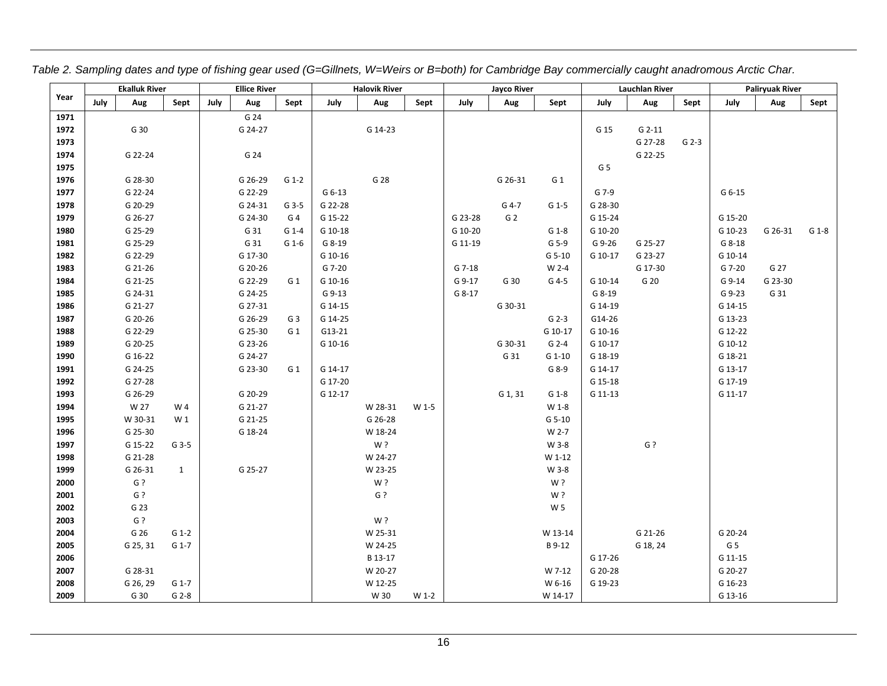|      |      | <b>Ekalluk River</b> |                |      | <b>Ellice River</b> |                |         | <b>Halovik River</b> |       |         | Jayco River    |                |                | <b>Lauchlan River</b> |         |                | <b>Paliryuak River</b> |         |
|------|------|----------------------|----------------|------|---------------------|----------------|---------|----------------------|-------|---------|----------------|----------------|----------------|-----------------------|---------|----------------|------------------------|---------|
| Year | July | Aug                  | Sept           | July | Aug                 | Sept           | July    | Aug                  | Sept  | July    | Aug            | Sept           | July           | Aug                   | Sept    | July           | Aug                    | Sept    |
| 1971 |      |                      |                |      | G 24                |                |         |                      |       |         |                |                |                |                       |         |                |                        |         |
| 1972 |      | G 30                 |                |      | G 24-27             |                |         | G 14-23              |       |         |                |                | G 15           | $G$ 2-11              |         |                |                        |         |
| 1973 |      |                      |                |      |                     |                |         |                      |       |         |                |                |                | G 27-28               | $G$ 2-3 |                |                        |         |
| 1974 |      | G 22-24              |                |      | G 24                |                |         |                      |       |         |                |                |                | G 22-25               |         |                |                        |         |
| 1975 |      |                      |                |      |                     |                |         |                      |       |         |                |                | G <sub>5</sub> |                       |         |                |                        |         |
| 1976 |      | G 28-30              |                |      | G 26-29             | G 1-2          |         | G 28                 |       |         | G 26-31        | G <sub>1</sub> |                |                       |         |                |                        |         |
| 1977 |      | G 22-24              |                |      | G 22-29             |                | G 6-13  |                      |       |         |                |                | G 7-9          |                       |         | G 6-15         |                        |         |
| 1978 |      | G 20-29              |                |      | G 24-31             | G 3-5          | G 22-28 |                      |       |         | G 4-7          | G 1-5          | G 28-30        |                       |         |                |                        |         |
| 1979 |      | G 26-27              |                |      | G 24-30             | G <sub>4</sub> | G 15-22 |                      |       | G 23-28 | G <sub>2</sub> |                | G 15-24        |                       |         | G 15-20        |                        |         |
| 1980 |      | G 25-29              |                |      | G 31                | $G$ 1-4        | G 10-18 |                      |       | G 10-20 |                | $G_1-8$        | G 10-20        |                       |         | G 10-23        | G 26-31                | $G_1-8$ |
| 1981 |      | G 25-29              |                |      | G 31                | $G_1-6$        | G 8-19  |                      |       | G 11-19 |                | G 5-9          | G 9-26         | G 25-27               |         | $G$ 8-18       |                        |         |
| 1982 |      | G 22-29              |                |      | G 17-30             |                | G 10-16 |                      |       |         |                | G 5-10         | G 10-17        | G 23-27               |         | G 10-14        |                        |         |
| 1983 |      | G 21-26              |                |      | G 20-26             |                | G 7-20  |                      |       | G 7-18  |                | W 2-4          |                | G 17-30               |         | G 7-20         | G 27                   |         |
| 1984 |      | G 21-25              |                |      | G 22-29             | G 1            | G 10-16 |                      |       | G 9-17  | G 30           | G 4-5          | G 10-14        | G 20                  |         | G 9-14         | G 23-30                |         |
| 1985 |      | G 24-31              |                |      | G 24-25             |                | G 9-13  |                      |       | G 8-17  |                |                | G 8-19         |                       |         | G 9-23         | G 31                   |         |
| 1986 |      | G 21-27              |                |      | G 27-31             |                | G 14-15 |                      |       |         | G 30-31        |                | G 14-19        |                       |         | G 14-15        |                        |         |
| 1987 |      | G 20-26              |                |      | G 26-29             | G <sub>3</sub> | G 14-25 |                      |       |         |                | $G$ 2-3        | G14-26         |                       |         | G 13-23        |                        |         |
| 1988 |      | G 22-29              |                |      | G 25-30             | G <sub>1</sub> | G13-21  |                      |       |         |                | G 10-17        | G 10-16        |                       |         | G 12-22        |                        |         |
| 1989 |      | G 20-25              |                |      | G 23-26             |                | G 10-16 |                      |       |         | G 30-31        | $G$ 2-4        | G 10-17        |                       |         | G 10-12        |                        |         |
| 1990 |      | G 16-22              |                |      | G 24-27             |                |         |                      |       |         | G 31           | $G$ 1-10       | G 18-19        |                       |         | G 18-21        |                        |         |
| 1991 |      | G 24-25              |                |      | G 23-30             | G <sub>1</sub> | G 14-17 |                      |       |         |                | G 8-9          | G 14-17        |                       |         | G 13-17        |                        |         |
| 1992 |      | G 27-28              |                |      |                     |                | G 17-20 |                      |       |         |                |                | G 15-18        |                       |         | G 17-19        |                        |         |
| 1993 |      | G 26-29              |                |      | G 20-29             |                | G 12-17 |                      |       |         | G 1, 31        | $G_1-8$        | G 11-13        |                       |         | G 11-17        |                        |         |
| 1994 |      | W 27                 | W 4            |      | G 21-27             |                |         | W 28-31              | W 1-5 |         |                | W 1-8          |                |                       |         |                |                        |         |
| 1995 |      | W 30-31              | W <sub>1</sub> |      | G 21-25             |                |         | G 26-28              |       |         |                | G 5-10         |                |                       |         |                |                        |         |
| 1996 |      | G 25-30              |                |      | G 18-24             |                |         | W 18-24              |       |         |                | W 2-7          |                |                       |         |                |                        |         |
| 1997 |      | G 15-22              | G 3-5          |      |                     |                |         | W?                   |       |         |                | W 3-8          |                | $G$ ?                 |         |                |                        |         |
| 1998 |      | G 21-28              |                |      |                     |                |         | W 24-27              |       |         |                | W 1-12         |                |                       |         |                |                        |         |
| 1999 |      | G 26-31              | $\mathbf{1}$   |      | G 25-27             |                |         | W 23-25              |       |         |                | W 3-8          |                |                       |         |                |                        |         |
| 2000 |      | G?                   |                |      |                     |                |         | W?                   |       |         |                | W?             |                |                       |         |                |                        |         |
| 2001 |      | G?                   |                |      |                     |                |         | $G$ ?                |       |         |                | W?             |                |                       |         |                |                        |         |
| 2002 |      | G 23                 |                |      |                     |                |         |                      |       |         |                | W <sub>5</sub> |                |                       |         |                |                        |         |
| 2003 |      | G ?                  |                |      |                     |                |         | W?                   |       |         |                |                |                |                       |         |                |                        |         |
| 2004 |      | G 26                 | $G_1-2$        |      |                     |                |         | W 25-31              |       |         |                | W 13-14        |                | G 21-26               |         | G 20-24        |                        |         |
| 2005 |      | G 25, 31             | G 1-7          |      |                     |                |         | W 24-25              |       |         |                | B 9-12         |                | G 18, 24              |         | G <sub>5</sub> |                        |         |
| 2006 |      |                      |                |      |                     |                |         | B 13-17              |       |         |                |                | G 17-26        |                       |         | G 11-15        |                        |         |
| 2007 |      | G 28-31              |                |      |                     |                |         | W 20-27              |       |         |                | W 7-12         | G 20-28        |                       |         | G 20-27        |                        |         |
| 2008 |      | G 26, 29             | G 1-7          |      |                     |                |         | W 12-25              |       |         |                | W 6-16         | G 19-23        |                       |         | G 16-23        |                        |         |
| 2009 |      | G 30                 | $G$ 2-8        |      |                     |                |         | W 30                 | W 1-2 |         |                | W 14-17        |                |                       |         | G 13-16        |                        |         |

*Table 2. Sampling dates and type of fishing gear used (G=Gillnets, W=Weirs or B=both) for Cambridge Bay commercially caught anadromous Arctic Char.*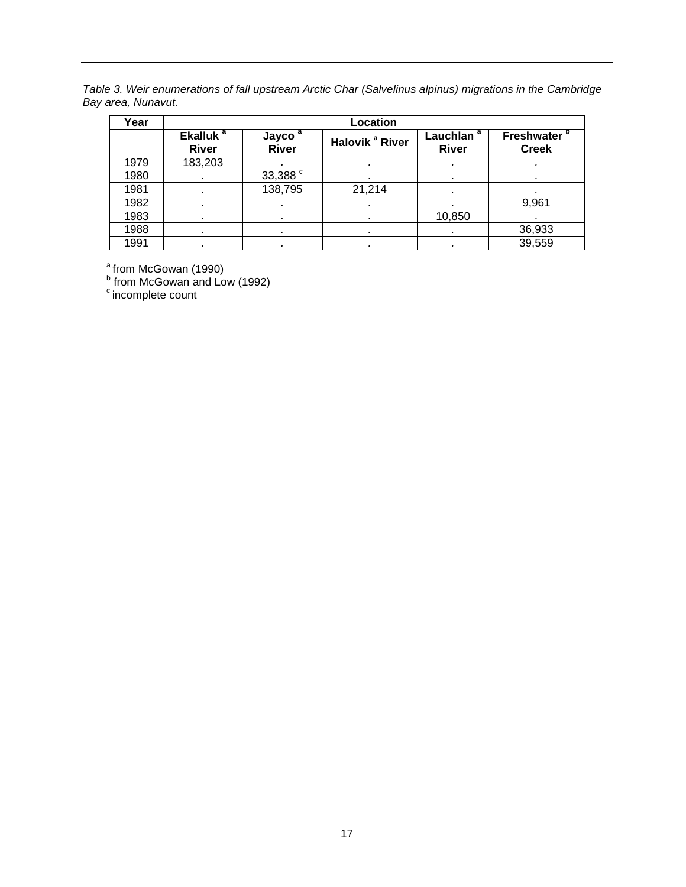*Table 3. Weir enumerations of fall upstream Arctic Char (Salvelinus alpinus) migrations in the Cambridge Bay area, Nunavut.*

| Year |                                      |                                    | Location                   |                                        |                                   |
|------|--------------------------------------|------------------------------------|----------------------------|----------------------------------------|-----------------------------------|
|      | Ekalluk <sup>a</sup><br><b>River</b> | Jayco <sup>a</sup><br><b>River</b> | Halovik <sup>a</sup> River | Lauchlan $\frac{a}{a}$<br><b>River</b> | <b>Freshwater</b><br><b>Creek</b> |
| 1979 | 183,203                              |                                    |                            | ٠                                      | ٠                                 |
| 1980 | ٠                                    | 33,388 <sup>c</sup>                |                            | ٠                                      | ٠                                 |
| 1981 |                                      | 138,795                            | 21,214                     |                                        |                                   |
| 1982 |                                      |                                    |                            |                                        | 9,961                             |
| 1983 |                                      | ٠                                  | ٠                          | 10,850                                 |                                   |
| 1988 | ٠                                    | ٠                                  | ٠                          | ٠                                      | 36,933                            |
| 1991 |                                      |                                    |                            |                                        | 39,559                            |

<sup>a</sup> from McGowan (1990)

<sup>b</sup> from McGowan and Low (1992)

 $\degree$  incomplete count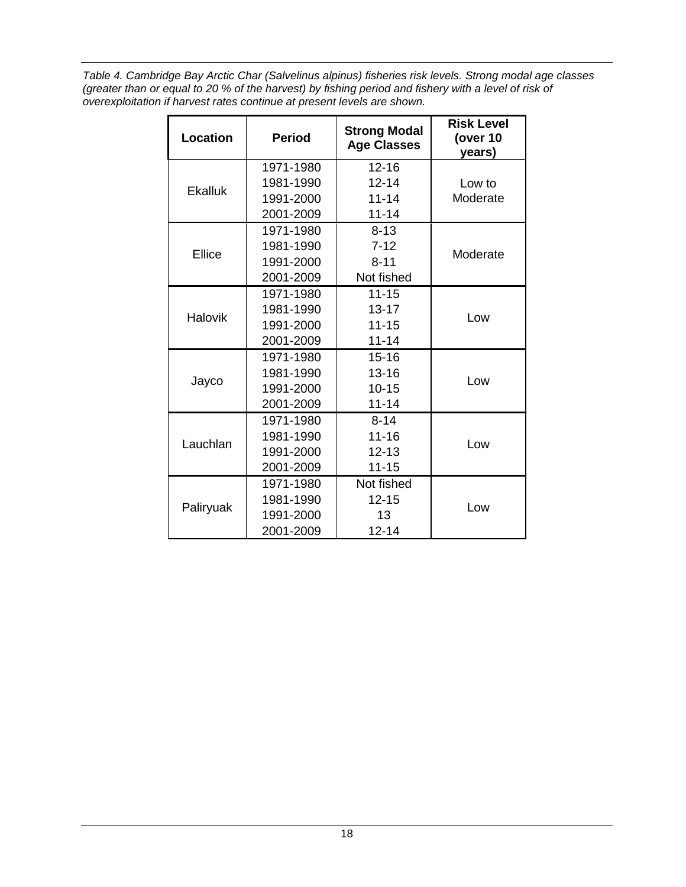*Table 4. Cambridge Bay Arctic Char (Salvelinus alpinus) fisheries risk levels. Strong modal age classes (greater than or equal to 20 % of the harvest) by fishing period and fishery with a level of risk of overexploitation if harvest rates continue at present levels are shown.*

| <b>Location</b> | <b>Period</b> | <b>Strong Modal</b><br><b>Age Classes</b> | <b>Risk Level</b><br>(over 10<br>years) |
|-----------------|---------------|-------------------------------------------|-----------------------------------------|
|                 | 1971-1980     | $12 - 16$                                 |                                         |
| <b>Ekalluk</b>  | 1981-1990     | $12 - 14$                                 | Low to                                  |
|                 | 1991-2000     | $11 - 14$                                 | Moderate                                |
|                 | 2001-2009     | $11 - 14$                                 |                                         |
|                 | 1971-1980     | $8 - 13$                                  |                                         |
| Ellice          | 1981-1990     | $7 - 12$                                  | Moderate                                |
|                 | 1991-2000     | $8 - 11$                                  |                                         |
|                 | 2001-2009     |                                           |                                         |
|                 | 1971-1980     | $11 - 15$                                 |                                         |
| <b>Halovik</b>  | 1981-1990     | $13 - 17$                                 |                                         |
|                 | 1991-2000     | $11 - 15$                                 | Low                                     |
|                 | 2001-2009     | $11 - 14$                                 |                                         |
|                 | 1971-1980     | $15 - 16$                                 |                                         |
|                 | 1981-1990     | $13 - 16$                                 |                                         |
| Jayco           | 1991-2000     | $10 - 15$                                 | Low                                     |
|                 | 2001-2009     | $11 - 14$                                 |                                         |
|                 | 1971-1980     | $8 - 14$                                  |                                         |
| Lauchlan        | 1981-1990     | $11 - 16$                                 |                                         |
|                 | 1991-2000     | $12 - 13$                                 | Low                                     |
|                 | 2001-2009     | $11 - 15$                                 |                                         |
|                 | 1971-1980     | Not fished                                |                                         |
|                 | 1981-1990     | $12 - 15$                                 |                                         |
| Paliryuak       | 1991-2000     | 13                                        | Low                                     |
|                 | 2001-2009     | $12 - 14$                                 |                                         |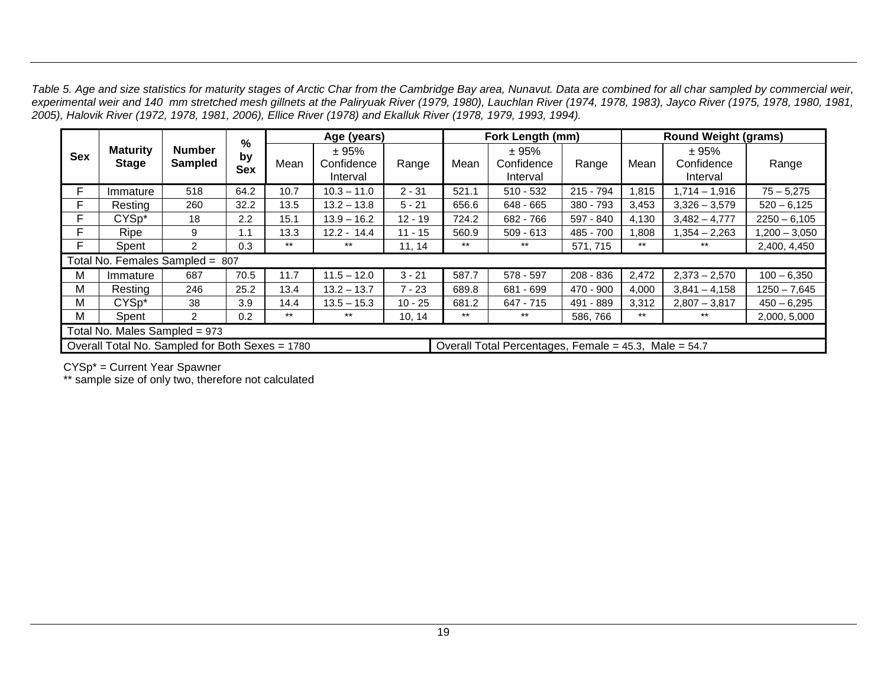*Table 5. Age and size statistics for maturity stages of Arctic Char from the Cambridge Bay area, Nunavut. Data are combined for all char sampled by commercial weir, experimental weir and 140 mm stretched mesh gillnets at the Paliryuak River (1979, 1980), Lauchlan River (1974, 1978, 1983), Jayco River (1975, 1978, 1980, 1981, 2005), Halovik River (1972, 1978, 1981, 2006), Ellice River (1978) and Ekalluk River (1978, 1979, 1993, 1994).* 

|            |                                                 |                                 | %                |       | Age (years)                     |           |       | Fork Length (mm)                                      |             | <b>Round Weight (grams)</b> |                                 |                 |  |
|------------|-------------------------------------------------|---------------------------------|------------------|-------|---------------------------------|-----------|-------|-------------------------------------------------------|-------------|-----------------------------|---------------------------------|-----------------|--|
| <b>Sex</b> | <b>Maturity</b><br><b>Stage</b>                 | <b>Number</b><br><b>Sampled</b> | by<br><b>Sex</b> | Mean  | ± 95%<br>Confidence<br>Interval | Range     | Mean  | ± 95%<br>Confidence<br>Interval                       | Range       | Mean                        | ± 95%<br>Confidence<br>Interval | Range           |  |
| F          | Immature                                        | 518                             | 64.2             | 10.7  | $10.3 - 11.0$                   | $2 - 31$  | 521.1 | $510 - 532$                                           | 215 - 794   | 1,815                       | $1,714 - 1,916$                 | $75 - 5,275$    |  |
| F          | Resting                                         | 260                             | 32.2             | 13.5  | $13.2 - 13.8$                   | $5 - 21$  | 656.6 | 648 - 665                                             | 380 - 793   | 3,453                       | $3,326 - 3,579$                 | $520 - 6,125$   |  |
| F          | CYS <sub>p</sub> *                              | 18                              | 2.2              | 15.1  | $13.9 - 16.2$                   | $12 - 19$ | 724.2 | 682 - 766                                             | 597 - 840   | 4,130                       | $3.482 - 4.777$                 | $2250 - 6,105$  |  |
| F          | Ripe                                            | 9                               | 1.1              | 13.3  | $12.2 - 14.4$                   | $11 - 15$ | 560.9 | $509 - 613$                                           | 485 - 700   | .808                        | $1,354 - 2,263$                 | $1,200 - 3,050$ |  |
| F          | Spent                                           | 2                               | 0.3              | $***$ | $***$                           | 11, 14    | $***$ | $***$                                                 | 571, 715    | $***$                       | $***$                           | 2,400, 4,450    |  |
|            | Total No. Females Sampled =                     |                                 | 807              |       |                                 |           |       |                                                       |             |                             |                                 |                 |  |
| м          | Immature                                        | 687                             | 70.5             | 11.7  | $11.5 - 12.0$                   | $3 - 21$  | 587.7 | 578 - 597                                             | $208 - 836$ | 2,472                       | $2,373 - 2,570$                 | $100 - 6,350$   |  |
| М          | Resting                                         | 246                             | 25.2             | 13.4  | $13.2 - 13.7$                   | $7 - 23$  | 689.8 | 681 - 699                                             | 470 - 900   | 4,000                       | $3,841 - 4,158$                 | $1250 - 7,645$  |  |
| M          | CYSp*                                           | 38                              | 3.9              | 14.4  | $13.5 - 15.3$                   | $10 - 25$ | 681.2 | $647 - 715$                                           | 491 - 889   | 3,312                       | $2,807 - 3,817$                 | $450 - 6,295$   |  |
| M          | Spent                                           | $\overline{2}$                  | 0.2              | $***$ | $***$                           | 10, 14    | $***$ | $***$                                                 | 586, 766    | $***$                       | $***$                           | 2,000, 5,000    |  |
|            | Total No. Males Sampled = 973                   |                                 |                  |       |                                 |           |       |                                                       |             |                             |                                 |                 |  |
|            | Overall Total No. Sampled for Both Sexes = 1780 |                                 |                  |       |                                 |           |       | Overall Total Percentages, Female = 45.3, Male = 54.7 |             |                             |                                 |                 |  |

CYSp\* = Current Year Spawner

\*\* sample size of only two, therefore not calculated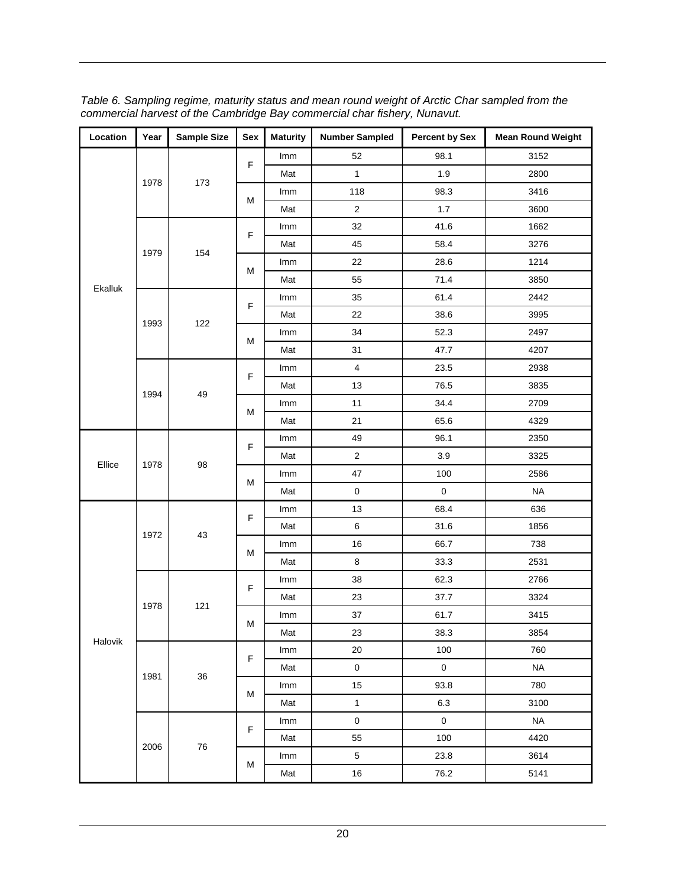| Location | Year | <b>Sample Size</b> | Sex         | <b>Maturity</b> | <b>Number Sampled</b>   | <b>Percent by Sex</b> | <b>Mean Round Weight</b> |
|----------|------|--------------------|-------------|-----------------|-------------------------|-----------------------|--------------------------|
|          |      |                    | F           | Imm             | 52                      | 98.1                  | 3152                     |
|          | 1978 |                    |             | Mat             | $\mathbf{1}$            | 1.9                   | 2800                     |
|          |      | 173                | M           | Imm             | 118                     | 98.3                  | 3416                     |
|          |      |                    |             | Mat             | $\overline{2}$          | $1.7$                 | 3600                     |
|          |      |                    | F           | Imm             | 32                      | 41.6                  | 1662                     |
|          | 1979 |                    |             | Mat             | 45                      | 58.4                  | 3276                     |
|          |      | 154                | M           | Imm             | 22                      | 28.6                  | 1214                     |
| Ekalluk  |      |                    |             | Mat             | 55                      | 71.4                  | 3850                     |
|          |      |                    | F           | Imm             | 35                      | 61.4                  | 2442                     |
|          | 1993 | 122                |             | Mat             | 22                      | 38.6                  | 3995                     |
|          |      |                    | M           | Imm             | 34                      | 52.3                  | 2497                     |
|          |      |                    |             | Mat             | 31                      | 47.7                  | 4207                     |
|          |      |                    | F           | Imm             | $\overline{\mathbf{4}}$ | 23.5                  | 2938                     |
|          |      |                    |             | Mat             | 13                      | 76.5                  | 3835                     |
|          | 1994 | 49                 | M           | Imm             | 11                      | 34.4                  | 2709                     |
|          |      |                    |             | Mat             | 21                      | 65.6                  | 4329                     |
|          | 1978 | 98                 | F           | Imm             | 49                      | 96.1                  | 2350                     |
| Ellice   |      |                    |             | Mat             | $\sqrt{2}$              | 3.9                   | 3325                     |
|          |      |                    | M           | Imm             | 47                      | 100                   | 2586                     |
|          |      |                    |             | Mat             | $\pmb{0}$               | $\mathsf 0$           | <b>NA</b>                |
|          |      | 43                 | F           | Imm             | 13                      | 68.4                  | 636                      |
|          | 1972 |                    |             | Mat             | 6                       | 31.6                  | 1856                     |
|          |      |                    | M           | Imm             | 16                      | 66.7                  | 738                      |
|          |      |                    |             | Mat             | $\bf 8$                 | 33.3                  | 2531                     |
|          |      |                    | F           | Imm             | 38                      | 62.3                  | 2766                     |
|          | 1978 | 121                |             | Mat             | 23                      | 37.7                  | 3324                     |
|          |      |                    | М           | Imm             | $37\,$                  | 61.7                  | 3415                     |
| Halovik  |      |                    |             | Mat             | 23                      | 38.3                  | 3854                     |
|          |      |                    | $\mathsf F$ | Imm             | 20                      | 100                   | 760                      |
|          | 1981 | 36                 |             | Mat             | $\mathsf{O}\xspace$     | $\mathbf 0$           | <b>NA</b>                |
|          |      |                    | M           | Imm             | 15                      | 93.8                  | 780                      |
|          |      |                    |             | Mat             | $\mathbf{1}$            | 6.3                   | 3100                     |
|          |      |                    | F           | Imm             | $\pmb{0}$               | $\mathbf 0$           | <b>NA</b>                |
|          | 2006 | 76                 |             | Mat             | 55                      | 100                   | 4420                     |
|          |      |                    | М           | Imm             | $\sqrt{5}$              | 23.8                  | 3614                     |
|          |      |                    |             | Mat             | 16                      | 76.2                  | 5141                     |

*Table 6. Sampling regime, maturity status and mean round weight of Arctic Char sampled from the commercial harvest of the Cambridge Bay commercial char fishery, Nunavut.*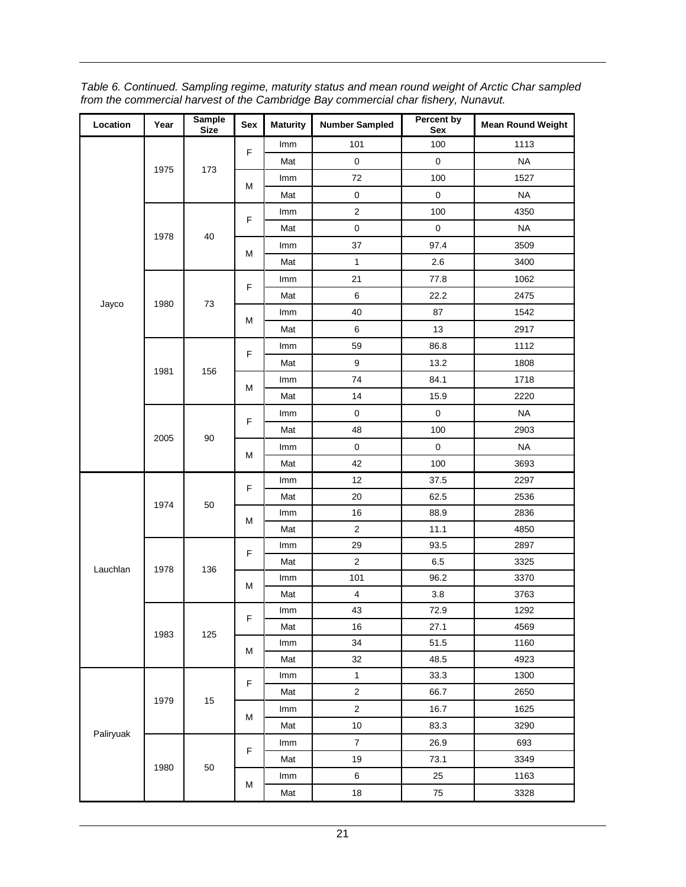| Location  | Year | <b>Sample</b><br><b>Size</b> | Sex    | <b>Maturity</b> | <b>Number Sampled</b> | Percent by<br>Sex | <b>Mean Round Weight</b> |
|-----------|------|------------------------------|--------|-----------------|-----------------------|-------------------|--------------------------|
|           |      |                              | F      | Imm             | 101                   | 100               | 1113                     |
|           |      |                              |        | Mat             | $\mathsf 0$           | $\mathsf 0$       | <b>NA</b>                |
|           | 1975 | 173                          |        | Imm             | 72                    | 100               | 1527                     |
|           |      |                              | M      | Mat             | $\pmb{0}$             | $\pmb{0}$         | <b>NA</b>                |
|           |      |                              |        | Imm             | $\overline{2}$        | 100               | 4350                     |
|           |      | 40                           | F      | Mat             | $\mathsf 0$           | $\mathsf 0$       | <b>NA</b>                |
|           | 1978 |                              | M      | Imm             | 37                    | 97.4              | 3509                     |
|           |      |                              |        | Mat             | $\mathbf{1}$          | 2.6               | 3400                     |
|           |      |                              |        | Imm             | 21                    | 77.8              | 1062                     |
|           |      |                              | F      | Mat             | $\,6$                 | 22.2              | 2475                     |
| Jayco     | 1980 | 73                           |        | Imm             | 40                    | 87                | 1542                     |
|           |      |                              | M      | Mat             | $\,6$                 | 13                | 2917                     |
|           |      |                              |        | Imm             | 59                    | 86.8              | 1112                     |
|           |      |                              | F      | Mat             | $\boldsymbol{9}$      | 13.2              | 1808                     |
|           | 1981 | 156                          |        | Imm             | 74                    | 84.1              | 1718                     |
|           |      |                              | M      | Mat             | 14                    | 15.9              | 2220                     |
|           | 2005 | 90                           |        | Imm             | $\mathbf 0$           | $\mathbf 0$       | <b>NA</b>                |
|           |      |                              | F      | Mat             | 48                    | 100               | 2903                     |
|           |      |                              | M      | Imm             | $\mathbf 0$           | $\mathbf 0$       | <b>NA</b>                |
|           |      |                              |        | Mat             | 42                    | 100               | 3693                     |
|           | 1974 | 50                           | F<br>М | Imm             | 12                    | 37.5              | 2297                     |
|           |      |                              |        | Mat             | 20                    | 62.5              | 2536                     |
|           |      |                              |        | Imm             | 16                    | 88.9              | 2836                     |
|           |      |                              |        | Mat             | $\overline{2}$        | 11.1              | 4850                     |
|           |      | 136                          | F      | Imm             | 29                    | 93.5              | 2897                     |
| Lauchlan  | 1978 |                              |        | Mat             | $\overline{2}$        | 6.5               | 3325                     |
|           |      |                              | M      | Imm             | 101                   | 96.2              | 3370                     |
|           |      |                              |        | Mat             | $\overline{4}$        | 3.8               | 3763                     |
|           |      |                              | F      | Imm             | 43                    | 72.9              | 1292                     |
|           | 1983 | 125                          |        | Mat             | 16                    | 27.1              | 4569                     |
|           |      |                              | M      | Imm             | 34                    | 51.5              | 1160                     |
|           |      |                              |        | Mat             | 32                    | 48.5              | 4923                     |
|           |      |                              | F      | Imm             | $\mathbf{1}$          | 33.3              | 1300                     |
|           | 1979 | 15                           |        | Mat             | $\overline{2}$        | 66.7              | 2650                     |
|           |      |                              | M      | Imm             | $\overline{2}$        | 16.7              | 1625                     |
| Paliryuak |      |                              |        | Mat             | $10$                  | 83.3              | 3290                     |
|           |      |                              | F      | Imm             | $\boldsymbol{7}$      | 26.9              | 693                      |
|           | 1980 | 50                           |        | Mat             | 19                    | 73.1              | 3349                     |
|           |      |                              | M      | Imm             | $\,6$                 | 25                | 1163                     |
|           |      |                              |        | Mat             | $18\,$                | 75                | 3328                     |

*Table 6. Continued. Sampling regime, maturity status and mean round weight of Arctic Char sampled from the commercial harvest of the Cambridge Bay commercial char fishery, Nunavut.*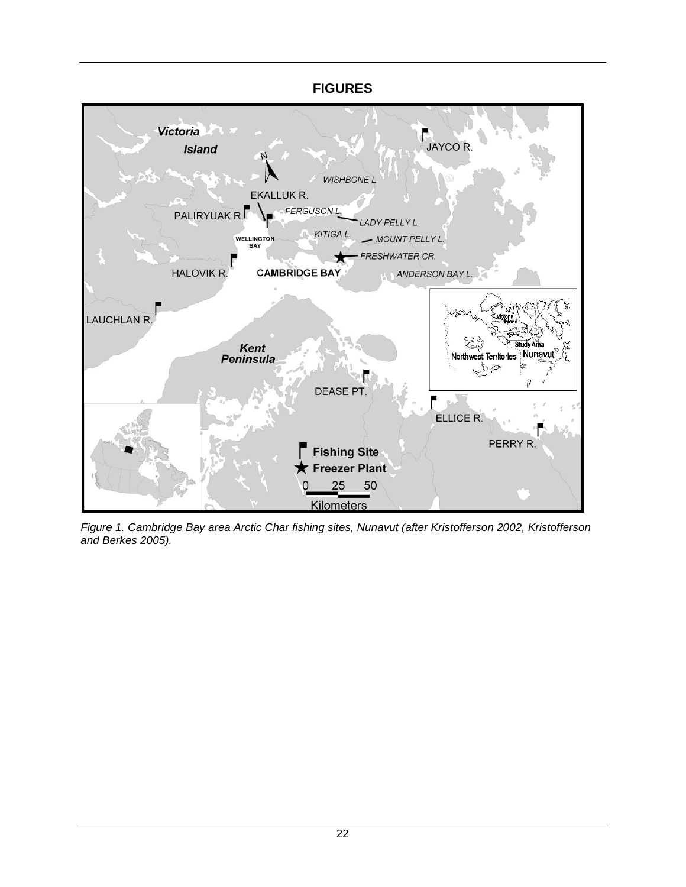<span id="page-26-0"></span>

*Figure 1. Cambridge Bay area Arctic Char fishing sites, Nunavut (after Kristofferson 2002, Kristofferson and Berkes 2005).*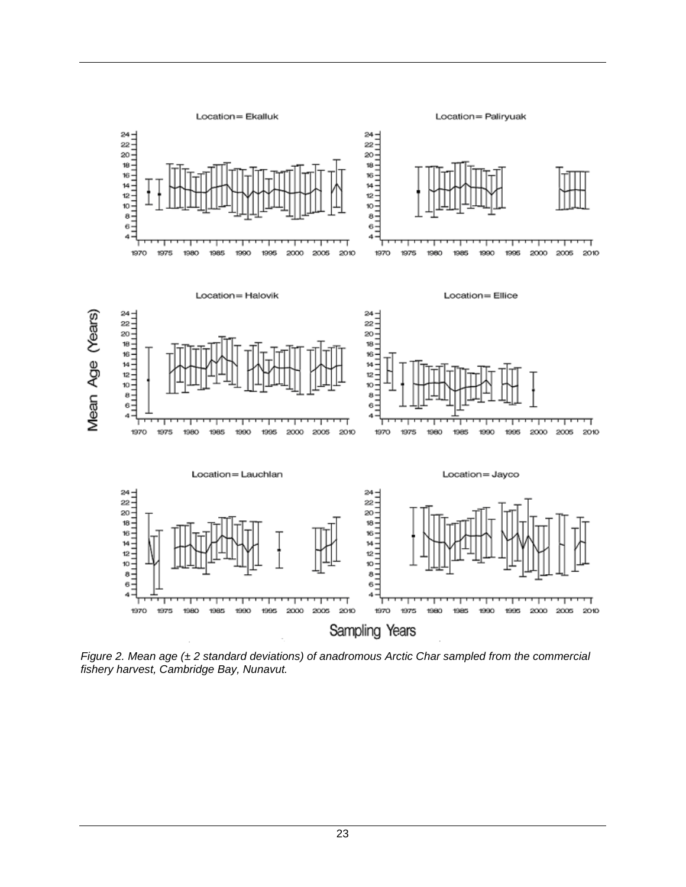

*Figure 2. Mean age (± 2 standard deviations) of anadromous Arctic Char sampled from the commercial fishery harvest, Cambridge Bay, Nunavut.*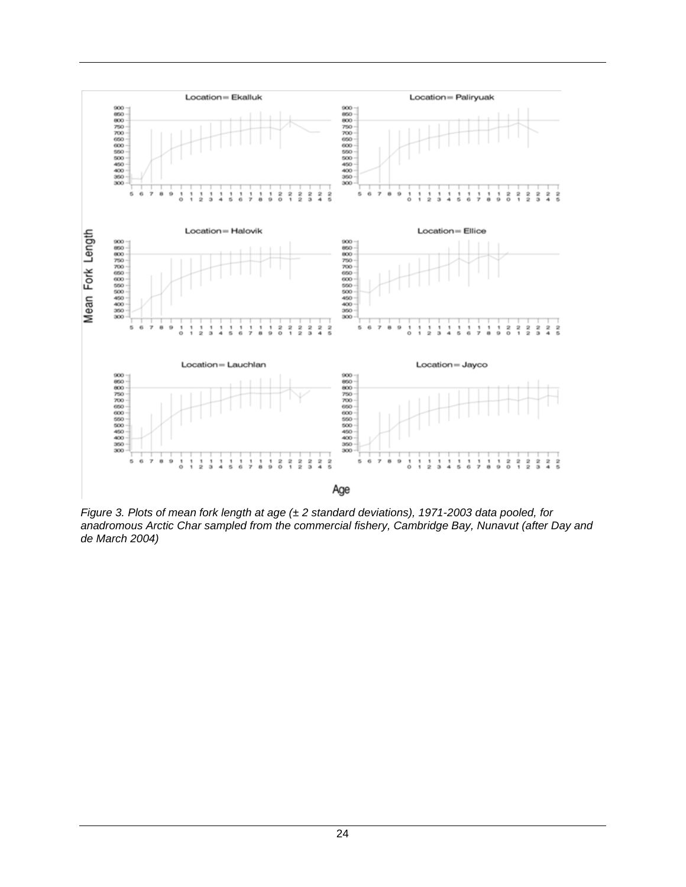

*Figure 3. Plots of mean fork length at age (± 2 standard deviations), 1971-2003 data pooled, for anadromous Arctic Char sampled from the commercial fishery, Cambridge Bay, Nunavut (after Day and de March 2004)*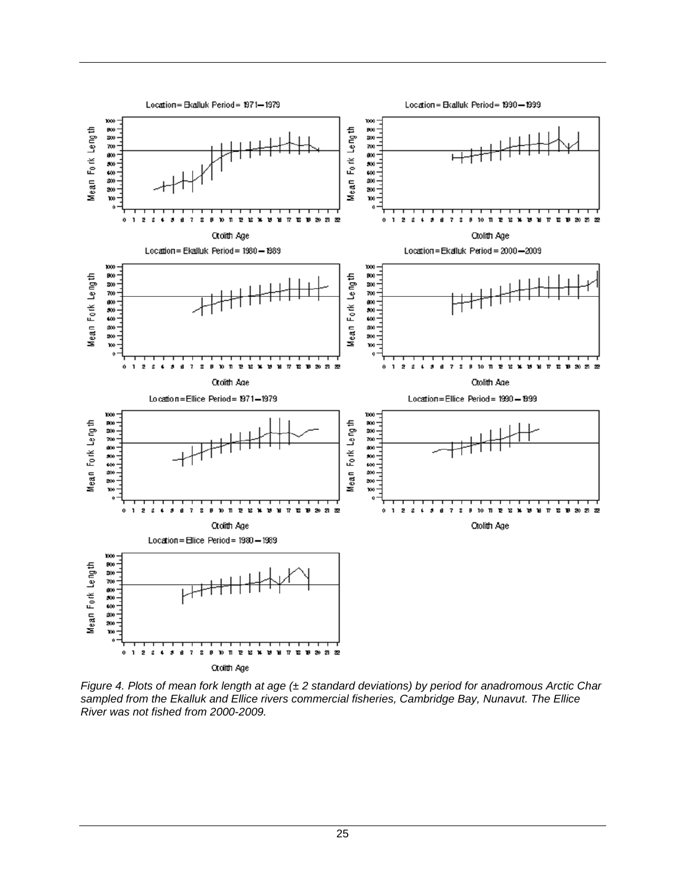

*Figure 4. Plots of mean fork length at age (± 2 standard deviations) by period for anadromous Arctic Char sampled from the Ekalluk and Ellice rivers commercial fisheries, Cambridge Bay, Nunavut. The Ellice River was not fished from 2000-2009.*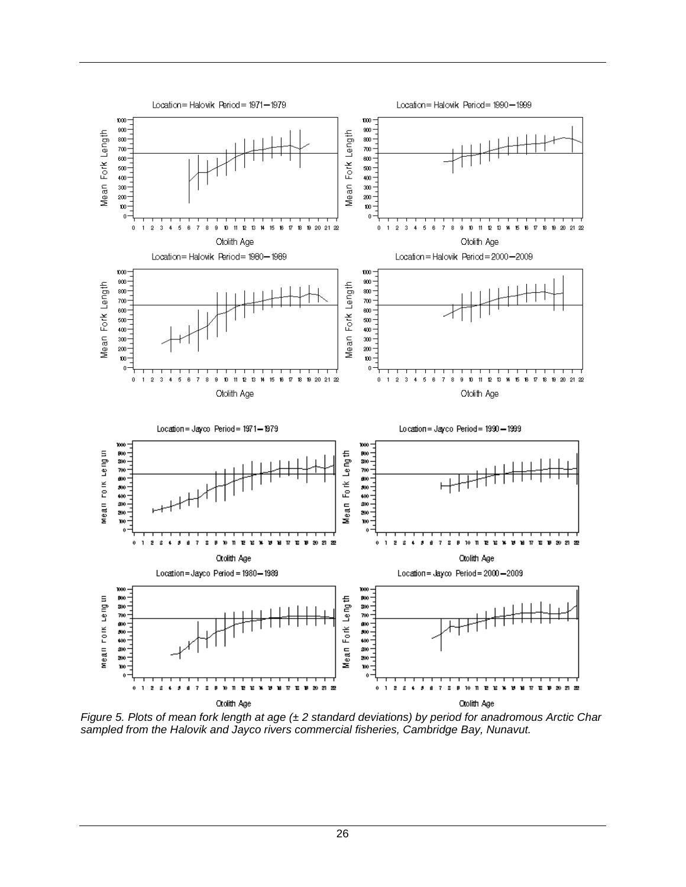

*Figure 5. Plots of mean fork length at age (± 2 standard deviations) by period for anadromous Arctic Char sampled from the Halovik and Jayco rivers commercial fisheries, Cambridge Bay, Nunavut.*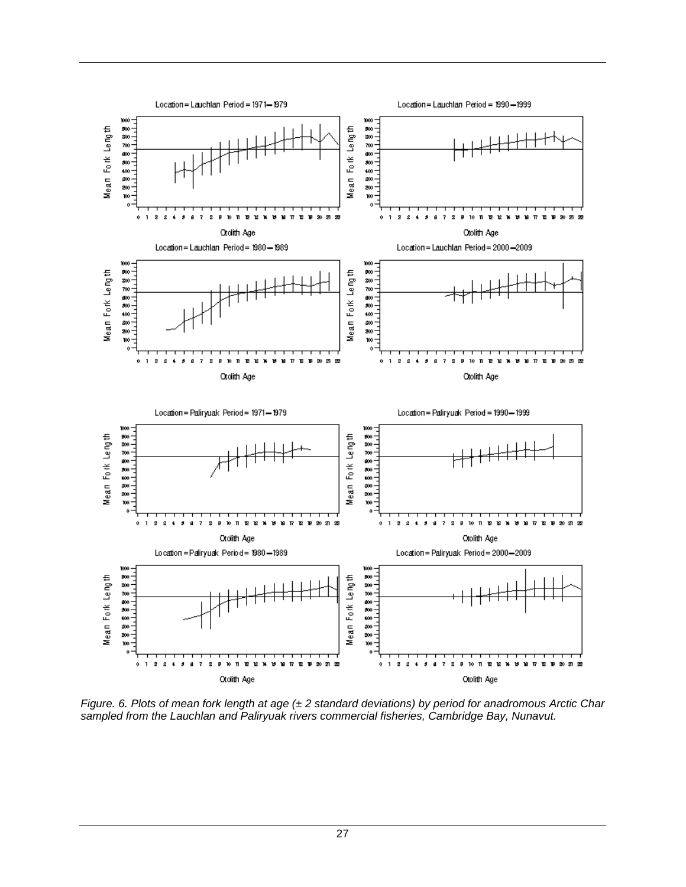

*Figure. 6. Plots of mean fork length at age (± 2 standard deviations) by period for anadromous Arctic Char sampled from the Lauchlan and Paliryuak rivers commercial fisheries, Cambridge Bay, Nunavut.*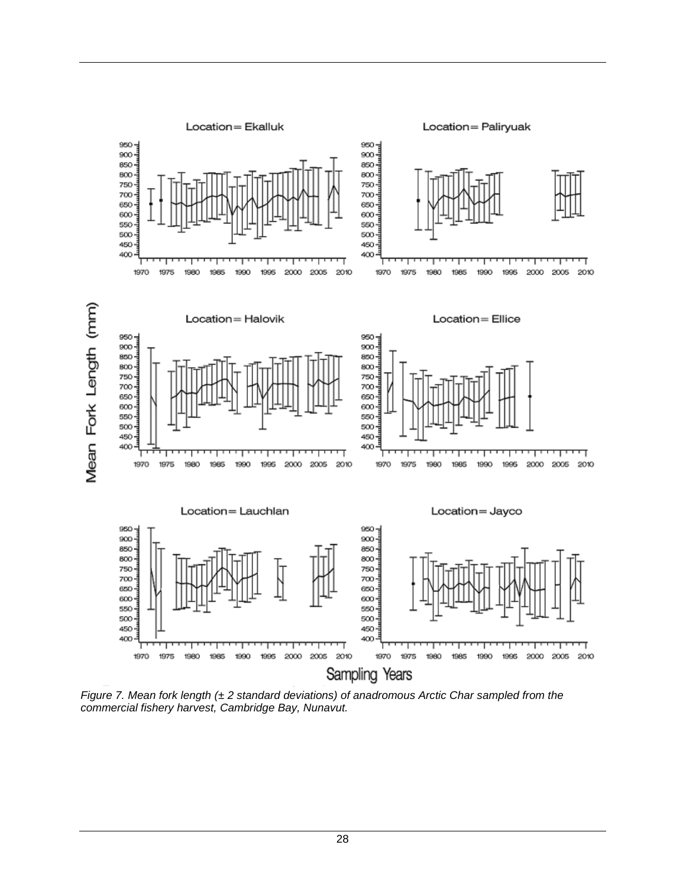

*Figure 7. Mean fork length (± 2 standard deviations) of anadromous Arctic Char sampled from the commercial fishery harvest, Cambridge Bay, Nunavut.*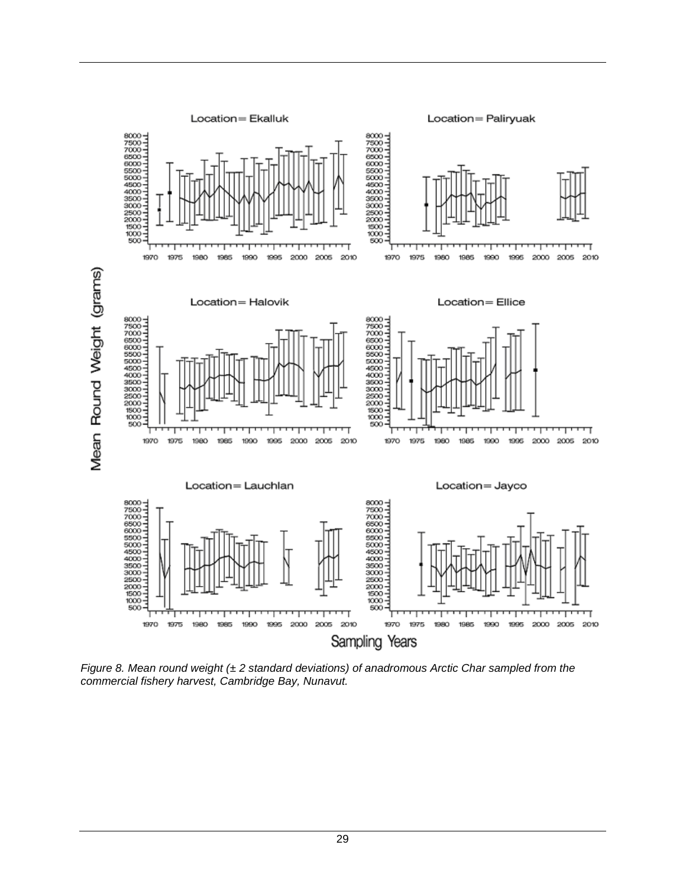

*Figure 8. Mean round weight (± 2 standard deviations) of anadromous Arctic Char sampled from the commercial fishery harvest, Cambridge Bay, Nunavut.*